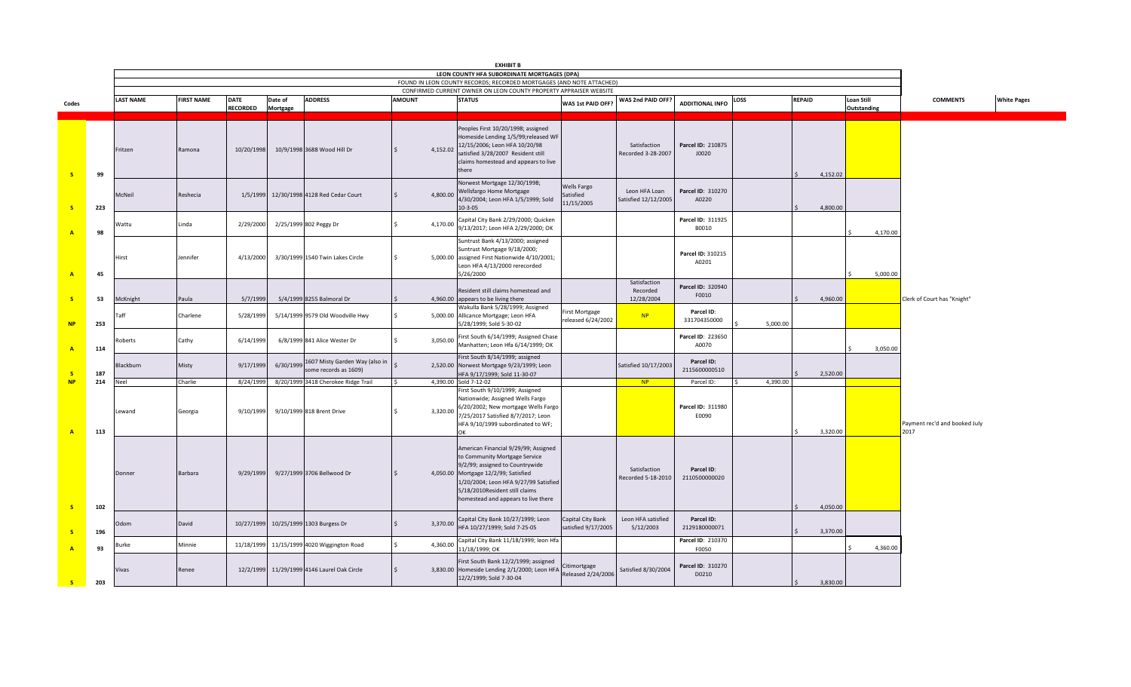|                         |     |                  |                   |                 |           |                                                         |               |          | <b>EXHIBIT B</b>                                                                                                                                                                                                                                                   |                                          |                                        |                             |          |               |             |                                       |                    |
|-------------------------|-----|------------------|-------------------|-----------------|-----------|---------------------------------------------------------|---------------|----------|--------------------------------------------------------------------------------------------------------------------------------------------------------------------------------------------------------------------------------------------------------------------|------------------------------------------|----------------------------------------|-----------------------------|----------|---------------|-------------|---------------------------------------|--------------------|
|                         |     |                  |                   |                 |           |                                                         |               |          | LEON COUNTY HFA SUBORDINATE MORTGAGES (DPA)                                                                                                                                                                                                                        |                                          |                                        |                             |          |               |             |                                       |                    |
|                         |     |                  |                   |                 |           |                                                         |               |          | FOUND IN LEON COUNTY RECORDS; RECORDED MORTGAGES (AND NOTE ATTACHED)<br>CONFIRMED CURRENT OWNER ON LEON COUNTY PROPERTY APPRAISER WEBSITE                                                                                                                          |                                          |                                        |                             |          |               |             |                                       |                    |
| Codes                   |     | <b>LAST NAME</b> | <b>FIRST NAME</b> | <b>DATE</b>     | Date of   | <b>ADDRESS</b>                                          | <b>AMOUNT</b> |          | <b>STATUS</b>                                                                                                                                                                                                                                                      | WAS 1st PAID OFF?                        | WAS 2nd PAID OFF?                      | <b>ADDITIONAL INFO</b>      | LOSS     | <b>REPAID</b> | Loan Still  | <b>COMMENTS</b>                       | <b>White Pages</b> |
|                         |     |                  |                   | <b>RECORDED</b> | Mortgage  |                                                         |               |          |                                                                                                                                                                                                                                                                    |                                          |                                        |                             |          |               | Outstanding |                                       |                    |
| $\overline{\mathbf{s}}$ | 99  | Fritzen          | Ramona            | 10/20/1998      |           | 10/9/1998 3688 Wood Hill Dr                             |               | 4,152.02 | Peoples First 10/20/1998; assigned<br>Homeside Lending 1/5/99;released WF<br>12/15/2006; Leon HFA 10/20/98<br>satisfied 3/28/2007 Resident still<br>claims homestead and appears to live<br>there                                                                  |                                          | Satisfaction<br>Recorded 3-28-2007     | Parcel ID: 210875<br>J0020  |          | 4,152.02      |             |                                       |                    |
| - S                     | 223 | McNeil           | Reshecia          | 1/5/1999        |           | 12/30/1998 4128 Red Cedar Court                         |               | 4,800.00 | Norwest Mortgage 12/30/1998;<br>Wellsfargo Home Mortgage<br>4/30/2004; Leon HFA 1/5/1999; Sold<br>10-3-05                                                                                                                                                          | Wells Fargo<br>atisfied<br>11/15/2005    | Leon HFA Loan<br>Satisfied 12/12/2005  | Parcel ID: 310270<br>A0220  |          | 4,800.00      |             |                                       |                    |
|                         | 98  | Wattu            | Linda             | 2/29/2000       |           | 2/25/1999 802 Peggy Dr                                  |               | 4,170.00 | Capital City Bank 2/29/2000; Quicken<br>9/13/2017; Leon HFA 2/29/2000; OK                                                                                                                                                                                          |                                          |                                        | Parcel ID: 311925<br>B0010  |          |               | 4,170.00    |                                       |                    |
| $\overline{A}$          | 45  | Hirst            | Jennifer          | 4/13/2000       |           | 3/30/1999 1540 Twin Lakes Circle                        |               |          | Suntrust Bank 4/13/2000; assigned<br>Suntrust Mortgage 9/18/2000;<br>5,000.00 assigned First Nationwide 4/10/2001;<br>Leon HFA 4/13/2000 rerecorded<br>5/26/2000                                                                                                   |                                          |                                        | Parcel ID: 310215<br>A0201  |          |               | 5,000.00    |                                       |                    |
| -s                      | 53  | McKnight         | Paula             | 5/7/1999        |           | 5/4/1999 8255 Balmoral Dr                               |               |          | Resident still claims homestead and<br>4,960.00 appears to be living there                                                                                                                                                                                         |                                          | Satisfaction<br>Recorded<br>12/28/2004 | Parcel ID: 320940<br>F0010  |          | 4,960.00      |             | Clerk of Court has "Knight"           |                    |
| <b>NP</b>               | 253 | Taff             | Charlene          | 5/28/1999       |           | 5/14/1999 9579 Old Woodville Hwy                        |               |          | Wakulla Bank 5/28/1999; Assigned<br>5,000.00 Allicance Mortgage; Leon HFA<br>5/28/1999; Sold 5-30-02                                                                                                                                                               | irst Mortgage<br>released 6/24/2002      | NP                                     | Parcel ID:<br>331704350000  | 5,000.00 |               |             |                                       |                    |
| $\overline{A}$          | 114 | Roberts          | Cathy             | 6/14/1999       |           | 6/8/1999 841 Alice Wester Dr                            |               | 3,050.00 | First South 6/14/1999; Assigned Chase<br>Manhatten; Leon Hfa 6/14/1999; OK                                                                                                                                                                                         |                                          |                                        | Parcel ID: 223650<br>A0070  |          |               | 3,050.00    |                                       |                    |
| -s                      | 187 | Blackburn        | Misty             | 9/17/1999       | 6/30/1999 | 1607 Misty Garden Way (also in<br>some records as 1609) |               |          | First South 8/14/1999; assigned<br>2,520.00 Norwest Mortgage 9/23/1999; Leon<br>HFA 9/17/1999; Sold 11-30-07                                                                                                                                                       |                                          | Satisfied 10/17/2003                   | Parcel ID:<br>2115600000510 |          | 2,520.00      |             |                                       |                    |
| NP                      | 214 | Neel             | Charlie           | 8/24/199        |           | 8/20/1999 3418 Cherokee Ridge Trail                     |               |          | 4,390.00 Sold 7-12-02                                                                                                                                                                                                                                              |                                          | NP                                     | Parcel ID:                  | 4,390.00 |               |             |                                       |                    |
| $\overline{A}$          | 113 | Lewand           | Georgia           | 9/10/1999       |           | 9/10/1999 818 Brent Drive                               |               | 3,320.00 | First South 9/10/1999; Assigned<br>Nationwide; Assigned Wells Fargo<br>6/20/2002; New mortgage Wells Fargo<br>7/25/2017 Satisfied 8/7/2017; Leon<br>HFA 9/10/1999 subordinated to WF;                                                                              |                                          |                                        | Parcel ID: 311980<br>E0090  |          | 3,320.00      |             | Payment rec'd and booked July<br>2017 |                    |
| - 5                     | 102 | Donner           | Barbara           | 9/29/1999       |           | 9/27/1999 3706 Bellwood Dr                              |               |          | American Financial 9/29/99; Assigned<br>to Community Mortgage Service<br>9/2/99; assigned to Countrywide<br>4,050.00 Mortgage 12/2/99; Satisfied<br>1/20/2004; Leon HFA 9/27/99 Satisfied<br>5/18/2010Resident still claims<br>homestead and appears to live there |                                          | Satisfaction<br>Recorded 5-18-2010     | Parcel ID:<br>2110500000020 |          | 4,050.00      |             |                                       |                    |
| <b>S</b>                | 196 | Odom             | David             |                 |           | 10/27/1999 10/25/1999 1303 Burgess Dr                   |               | 3,370.00 | Capital City Bank 10/27/1999; Leon<br>HFA 10/27/1999; Sold 7-25-05                                                                                                                                                                                                 | Capital City Bank<br>satisfied 9/17/2005 | Leon HFA satisfied<br>5/12/2003        | Parcel ID:<br>2129180000071 |          | 3,370.00      |             |                                       |                    |
| $\Delta$                | 93  | Burke            | Minnie            | 11/18/1999      |           | 11/15/1999 4020 Wiggington Road                         |               | 4,360.00 | Capital City Bank 11/18/1999; leon Hfa<br>11/18/1999; OK                                                                                                                                                                                                           |                                          |                                        | Parcel ID: 210370<br>F0050  |          |               | 4,360.00    |                                       |                    |
| $\mathbf{s}$            | 203 | Vivas            | Renee             |                 |           | 12/2/1999 11/29/1999 4146 Laurel Oak Circle             |               |          | First South Bank 12/2/1999; assigned<br>3,830.00 Homeside Lending 2/1/2000; Leon HFA<br>12/2/1999; Sold 7-30-04                                                                                                                                                    | itimortgage<br>Released 2/24/2006        | Satisfied 8/30/2004                    | Parcel ID: 310270<br>D0210  |          | 3,830.00      |             |                                       |                    |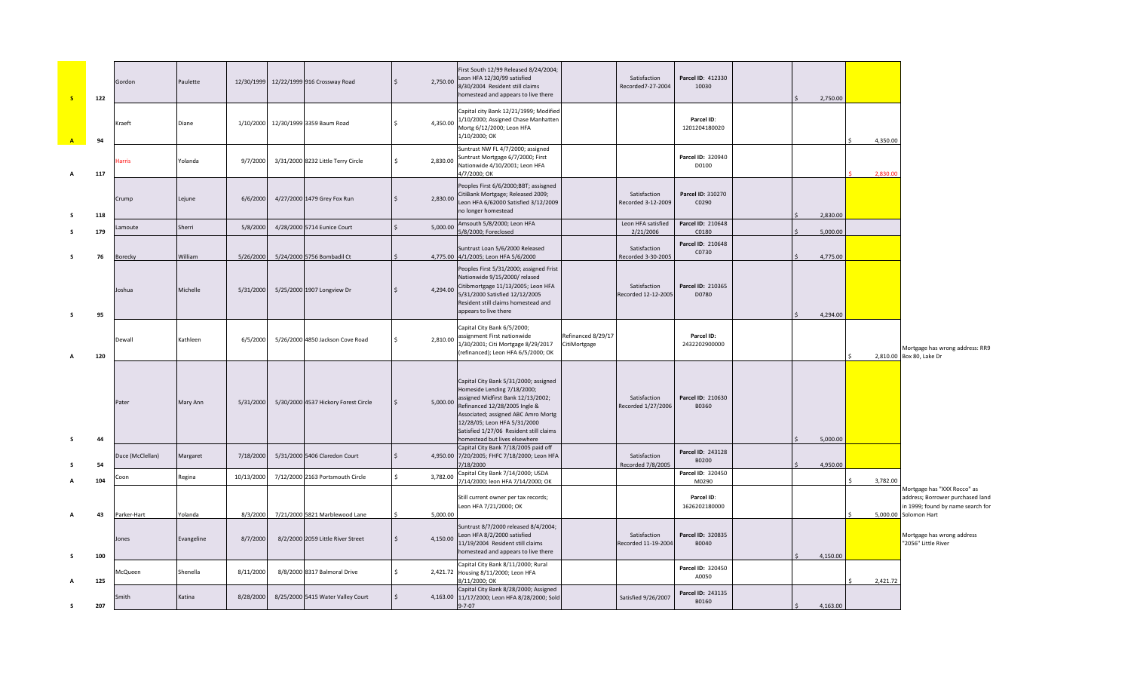| <b>S</b>     | 122       | Gordon               | Paulette              | 12/30/1999           | 12/22/1999 916 Crossway Road                                        | $\frac{1}{2}$       | 2,750.00 | First South 12/99 Released 8/24/2004;<br>Leon HFA 12/30/99 satisfied<br>8/30/2004 Resident still claims<br>homestead and appears to live there                                                                                                                                                 |                                    | Satisfaction<br>Recorded7-27-2004   | Parcel ID: 412330<br>10030  | 2,750.00 |          |                                                                                                      |
|--------------|-----------|----------------------|-----------------------|----------------------|---------------------------------------------------------------------|---------------------|----------|------------------------------------------------------------------------------------------------------------------------------------------------------------------------------------------------------------------------------------------------------------------------------------------------|------------------------------------|-------------------------------------|-----------------------------|----------|----------|------------------------------------------------------------------------------------------------------|
| $\mathbf{A}$ | 94        | Kraeft               | Diane                 | 1/10/2000            | 12/30/1999 3359 Baum Road                                           | Ŝ.                  | 4,350.00 | Capital city Bank 12/21/1999; Modified<br>1/10/2000; Assigned Chase Manhatten<br>Mortg 6/12/2000; Leon HFA<br>1/10/2000; OK                                                                                                                                                                    |                                    |                                     | Parcel ID:<br>1201204180020 |          | 4,350.00 |                                                                                                      |
|              | 117       | larris               | Yolanda               | 9/7/2000             | 3/31/2000 8232 Little Terry Circle                                  | Ŝ.                  | 2,830.00 | Suntrust NW FL 4/7/2000; assigned<br>Suntrust Mortgage 6/7/2000; First<br>Nationwide 4/10/2001; Leon HFA<br>4/7/2000; OK                                                                                                                                                                       |                                    |                                     | Parcel ID: 320940<br>D0100  |          | 2.830.00 |                                                                                                      |
|              | 118       | Crump                | Lejune                | 6/6/2000             | 4/27/2000 1479 Grey Fox Run                                         | $\ddot{\mathsf{S}}$ |          | Peoples First 6/6/2000;BBT; assisgned<br>2,830.00 CitiBank Mortgage; Released 2009;<br>Leon HFA 6/62000 Satisfied 3/12/2009<br>no longer homestead                                                                                                                                             |                                    | Satisfaction<br>Recorded 3-12-2009  | Parcel ID: 310270<br>C0290  | 2,830.00 |          |                                                                                                      |
|              | 179       | amoute               | Sherri                | 5/8/2000             | 4/28/2000 5714 Eunice Court                                         | $\zeta$             | 5,000.00 | Amsouth 5/8/2000; Leon HFA<br>5/8/2000; Foreclosed                                                                                                                                                                                                                                             |                                    | Leon HFA satisfied<br>2/21/2006     | Parcel ID: 210648<br>C0180  | 5,000.00 |          |                                                                                                      |
| s            | 76        | Borecky              | William               | 5/26/2000            | 5/24/2000 5756 Bombadil Ct                                          |                     |          | Suntrust Loan 5/6/2000 Released<br>4,775.00 4/1/2005; Leon HFA 5/6/2000                                                                                                                                                                                                                        |                                    | Satisfaction<br>Recorded 3-30-2005  | Parcel ID: 210648<br>C0730  | 4,775.00 |          |                                                                                                      |
| -S           | 95        | Joshua               | Michelle              | 5/31/2000            | 5/25/2000 1907 Longview Dr                                          | $\mathsf{S}$        | 4,294.00 | Peoples First 5/31/2000; assigned Frist<br>Nationwide 9/15/2000/ relased<br>Citibmortgage 11/13/2005; Leon HFA<br>5/31/2000 Satisfied 12/12/2005<br>Resident still claims homestead and<br>appears to live there                                                                               |                                    | Satisfaction<br>Recorded 12-12-2005 | Parcel ID: 210365<br>D0780  | 4,294.00 |          |                                                                                                      |
|              | 120       | Dewall               | Kathleen              | 6/5/2000             | 5/26/2000 4850 Jackson Cove Road                                    | Ś.                  | 2,810.00 | Capital City Bank 6/5/2000;<br>assignment First nationwide<br>1/30/2001; Citi Mortgage 8/29/2017<br>(refinanced); Leon HFA 6/5/2000; OK                                                                                                                                                        | Refinanced 8/29/17<br>CitiMortgage |                                     | Parcel ID:<br>2432202900000 |          |          | Mortgage has wrong address: RR9<br>2,810.00 Box 80, Lake Dr                                          |
|              | 44        | Pater                | Mary Ann              | 5/31/2000            | 5/30/2000 4537 Hickory Forest Circle                                | $\mathsf{S}$        | 5,000.00 | Capital City Bank 5/31/2000; assigned<br>Homeside Lending 7/18/2000;<br>assigned Midfirst Bank 12/13/2002;<br>Refinanced 12/28/2005 Ingle &<br>Associated; assigned ABC Amro Mortg<br>12/28/05; Leon HFA 5/31/2000<br>Satisfied 1/27/06 Resident still claims<br>homestead but lives elsewhere |                                    | Satisfaction<br>Recorded 1/27/2006  | Parcel ID: 210630<br>B0360  | 5,000.00 |          |                                                                                                      |
|              | 54        | Duce (McClellan)     | Margaret              | 7/18/2000            | 5/31/2000 5406 Claredon Court                                       | $\mathsf{S}$        |          | Capital City Bank 7/18/2005 paid off<br>4,950.00 7/20/2005; FHFC 7/18/2000; Leon HFA<br>7/18/2000                                                                                                                                                                                              |                                    | Satisfaction<br>Recorded 7/8/2005   | Parcel ID: 243128<br>B0200  | 4,950.00 |          |                                                                                                      |
|              | 104       | `oon                 | Regina                | 10/13/2000           | 7/12/2000 2163 Portsmouth Circle                                    | Ś.<br>3,782.00      |          | Capital City Bank 7/14/2000; USDA<br>7/14/2000; leon HFA 7/14/2000; OK                                                                                                                                                                                                                         |                                    |                                     | Parcel ID: 320450<br>M0290  |          | 3,782.00 |                                                                                                      |
|              |           |                      |                       |                      |                                                                     |                     | 5.000.00 | Still current owner per tax records;<br>Leon HFA 7/21/2000; OK                                                                                                                                                                                                                                 |                                    |                                     | Parcel ID:<br>1626202180000 |          |          | Mortgage has "XXX Rocco" as<br>address; Borrower purchased land<br>in 1999; found by name search for |
|              | 43<br>100 | Parker-Hart<br>Jones | Yolanda<br>Evangeline | 8/3/2000<br>8/7/2000 | 7/21/2000 5821 Marblewood Lane<br>8/2/2000 2059 Little River Street | $\mathsf{S}$        | 4,150.00 | Suntrust 8/7/2000 released 8/4/2004;<br>Leon HFA 8/2/2000 satisfied<br>11/19/2004 Resident still claims<br>homestead and appears to live there                                                                                                                                                 |                                    | Satisfaction<br>Recorded 11-19-2004 | Parcel ID: 320835<br>B0040  | 4,150.00 |          | 5,000.00 Solomon Hart<br>Mortgage has wrong address<br>"2056" Little River                           |
|              | 125       | McQueen              | Shenella              | 8/11/2000            | 8/8/2000 8317 Balmoral Drive                                        | Ŝ.                  |          | Capital City Bank 8/11/2000; Rural<br>2,421.72 Housing 8/11/2000; Leon HFA<br>8/11/2000; OK                                                                                                                                                                                                    |                                    |                                     | Parcel ID: 320450<br>A0050  |          | 2,421.72 |                                                                                                      |
| s            | 207       | Smith                | Katina                | 8/28/2000            | 8/25/2000 5415 Water Valley Court                                   | $\mathsf{S}$        |          | Capital City Bank 8/28/2000; Assigned<br>4,163.00 11/17/2000; Leon HFA 8/28/2000; Sold<br>$9 - 7 - 07$                                                                                                                                                                                         |                                    | Satisfied 9/26/2007                 | Parcel ID: 243135<br>B0160  | 4,163.00 |          |                                                                                                      |
|              |           |                      |                       |                      |                                                                     |                     |          |                                                                                                                                                                                                                                                                                                |                                    |                                     |                             |          |          |                                                                                                      |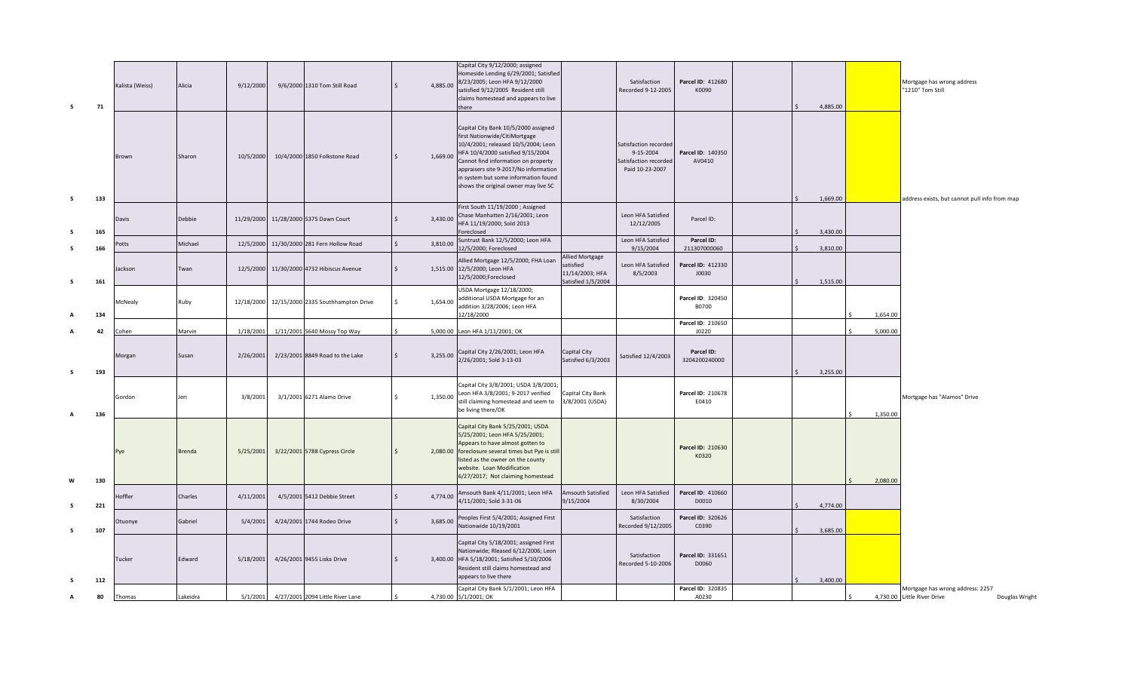| s            | 71         | Kalista (Weiss) | Alicia        | 9/12/2000  | 9/6/2000 1310 Tom Still Road              |              | 4,885.00 | Capital City 9/12/2000; assigned<br>Homeside Lending 6/29/2001; Satisfied<br>8/23/2005; Leon HFA 9/12/2000<br>satisfied 9/12/2005 Resident still<br>claims homestead and appears to live<br>there                                                                                                                 |                                                                              | Satisfaction<br>Recorded 9-12-2005                                             | Parcel ID: 412680<br>K0090                 |  | 4,885.00             |          | Mortgage has wrong address<br>"1210" Tom Still                                    |
|--------------|------------|-----------------|---------------|------------|-------------------------------------------|--------------|----------|-------------------------------------------------------------------------------------------------------------------------------------------------------------------------------------------------------------------------------------------------------------------------------------------------------------------|------------------------------------------------------------------------------|--------------------------------------------------------------------------------|--------------------------------------------|--|----------------------|----------|-----------------------------------------------------------------------------------|
| s            | 133        | Brown           | Sharon        | 10/5/2000  | 10/4/2000 1850 Folkstone Road             |              | 1,669.00 | Capital City Bank 10/5/2000 assigned<br>first Nationwide/CitiMortgage<br>10/4/2001; released 10/5/2004; Leon<br>HFA 10/4/2000 satisfied 9/15/2004<br>Cannot find information on property<br>appraisers site 9-2017/No information<br>in system but some information found<br>shows the original owner may live SC |                                                                              | Satisfaction recorded<br>9-15-2004<br>Satisfaction recorded<br>Paid 10-23-2007 | Parcel ID: 140350<br>AV0410                |  | 1,669.00             |          | address exists, but cannot pull info from map                                     |
| -S           | 165        | Davis           | Debbie        | 11/29/2000 | 11/28/2000 5375 Dawn Court                |              | 3,430.00 | First South 11/19/2000; Assigned<br>Chase Manhatten 2/16/2001; Leon<br>HFA 11/19/2000; Sold 2013<br>Foreclosed                                                                                                                                                                                                    |                                                                              | Leon HFA Satisfied<br>12/12/2005                                               | Parcel ID:                                 |  | 3,430.00             |          |                                                                                   |
| -S           |            | 'otts           | Michael       | 12/5/2000  | 11/30/2000 281 Fern Hollow Road           | $\mathsf{S}$ | 3,810.00 | Suntrust Bank 12/5/2000; Leon HFA                                                                                                                                                                                                                                                                                 |                                                                              | Leon HFA Satisfied                                                             | Parcel ID:                                 |  |                      |          |                                                                                   |
| s            | 166<br>161 | lackson         | Twan          |            | 12/5/2000 11/30/2000 4732 Hibiscus Avenue |              |          | 12/5/2000; Foreclosed<br>Allied Mortgage 12/5/2000; FHA Loan<br>1,515.00 12/5/2000; Leon HFA<br>12/5/2000;Foreclosed                                                                                                                                                                                              | <b>Allied Mortgage</b><br>satisfied<br>11/14/2003; HFA<br>Satisfied 1/5/2004 | 9/15/2004<br>Leon HFA Satisfied<br>8/5/2003                                    | 211307000060<br>Parcel ID: 412330<br>J0030 |  | 3,810.00<br>1,515.00 |          |                                                                                   |
| А            | 134        | McNealy         | Ruby          | 12/18/2000 | 12/15/2000 2335 Southhampton Drive        | \$.          | 1,654.00 | USDA Mortgage 12/18/2000;<br>additional USDA Mortgage for an<br>addition 3/28/2006; Leon HFA<br>12/18/2000                                                                                                                                                                                                        |                                                                              |                                                                                | Parcel ID: 320450<br>B0700                 |  |                      | 1,654.00 |                                                                                   |
| A            | 42         | Cohen           | Marvin        | 1/18/2001  | 1/11/2001 5640 Mossy Top Way              |              |          | 5,000.00 Leon HFA 1/11/2001; OK                                                                                                                                                                                                                                                                                   |                                                                              |                                                                                | Parcel ID: 210650<br>J0220                 |  |                      | 5,000.00 |                                                                                   |
| s.           | 193        | <b>Aorgan</b>   | Susan         | 2/26/2001  | 2/23/2001 8849 Road to the Lake           |              | 3,255.00 | Capital City 2/26/2001; Leon HFA<br>2/26/2001; Sold 3-13-03                                                                                                                                                                                                                                                       | Capital City<br>Satisfied 6/3/2003                                           | Satisfied 12/4/2003                                                            | Parcel ID:<br>3204200240000                |  | 3,255.00             |          |                                                                                   |
| $\mathbf{A}$ | 136        | Gordon          | Jeri          | 3/8/2001   | 3/1/2001 6271 Alamo Drive                 |              | 1,350.00 | Capital City 3/8/2001; USDA 3/8/2001;<br>Leon HFA 3/8/2001; 9-2017 verified<br>still claiming homestead and seem to<br>be living there/OK                                                                                                                                                                         | Capital City Bank<br>3/8/2001 (USDA)                                         |                                                                                | Parcel ID: 210678<br>E0410                 |  |                      | 1.350.00 | Mortgage has "Alamos" Drive                                                       |
| W            | 130        | Pye             | <b>Brenda</b> | 5/25/2001  | 3/22/2001 5788 Cypress Circle             |              |          | Capital City Bank 5/25/2001; USDA<br>5/25/2001; Leon HFA 5/25/2001;<br>Appears to have almost gotten to<br>2,080.00 foreclosure several times but Pye is still<br>listed as the owner on the county<br>website. Loan Modification<br>6/27/2017; Not claiming homestead                                            |                                                                              |                                                                                | Parcel ID: 210630<br>K0320                 |  |                      | 2,080.00 |                                                                                   |
| -S           | 221        | Hoffler         | Charles       | 4/11/2001  | 4/5/2001 5412 Debbie Street               |              | 4,774.00 | Amsouth Bank 4/11/2001; Leon HFA<br>4/11/2001; Sold 3-31-06                                                                                                                                                                                                                                                       | Amsouth Satisfied<br>9/15/2004                                               | Leon HFA Satisfied<br>8/30/2004                                                | Parcel ID: 410660<br>D0010                 |  | 4,774.00             |          |                                                                                   |
| s.           | 107        | Otuonye         | Gabriel       | 5/4/2001   | 4/24/2001 1744 Rodeo Drive                |              | 3,685.00 | Peoples First 5/4/2001; Assigned First<br>Nationwide 10/19/2001                                                                                                                                                                                                                                                   |                                                                              | Satisfaction<br>Recorded 9/12/2005                                             | Parcel ID: 320626<br>C0390                 |  | 3,685.00             |          |                                                                                   |
| -S           | 112        | <b>Tucker</b>   | Edward        | 5/18/2001  | 4/26/2001 9455 Liska Drive                |              |          | Capital City 5/18/2001; assigned First<br>Nationwide; Rleased 6/12/2006; Leon<br>3,400.00 HFA 5/18/2001; Satisfied 5/10/2006<br>Resident still claims homestead and<br>appears to live there                                                                                                                      |                                                                              | Satisfaction<br>Recorded 5-10-2006                                             | Parcel ID: 331651<br>D0060                 |  | 3,400.00             |          |                                                                                   |
|              | 80         | Thomas          | Lakeidra      | 5/1/2001   | 4/27/2001 2094 Little River Lane          |              |          | Capital City Bank 5/1/2001; Leon HFA<br>4,730.00 5/1/2001; OK                                                                                                                                                                                                                                                     |                                                                              |                                                                                | Parcel ID: 320835<br>A0230                 |  |                      |          | Mortgage has wrong address: 2257<br>4,730.00 Little River Drive<br>Douglas Wright |
|              |            |                 |               |            |                                           |              |          |                                                                                                                                                                                                                                                                                                                   |                                                                              |                                                                                |                                            |  |                      |          |                                                                                   |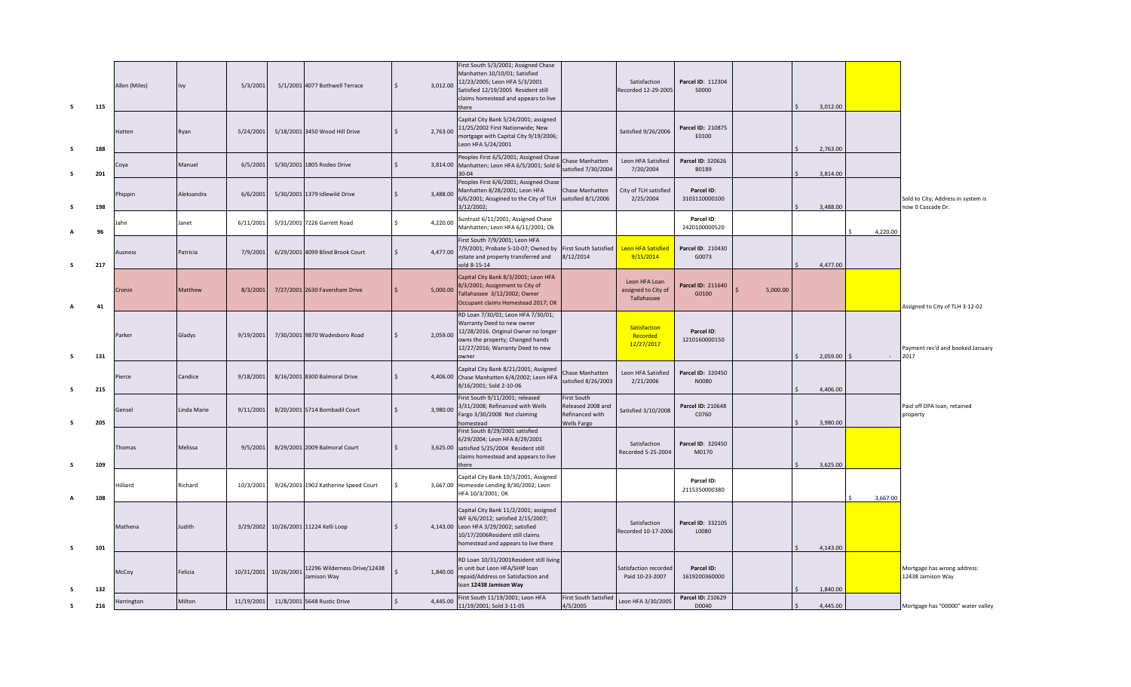| s  | 115 | Allen (Miles) | Ivy         | 5/3/2001   |            | 5/1/2001 4077 Bothwell Terrace              | $\sqrt{5}$   | 3,012.00 | First South 5/3/2001; Assigned Chase<br>Manhatten 10/10/01; Satisfied<br>12/23/2005; Leon HFA 5/3/2001<br>Satisfied 12/19/2005 Resident still<br>claims homestead and appears to live<br>there     |                                                                    | Satisfaction<br>Recorded 12-29-2005                 | Parcel ID: 112304<br>S0000  |          | 3,012.00 |                         |                                                         |
|----|-----|---------------|-------------|------------|------------|---------------------------------------------|--------------|----------|----------------------------------------------------------------------------------------------------------------------------------------------------------------------------------------------------|--------------------------------------------------------------------|-----------------------------------------------------|-----------------------------|----------|----------|-------------------------|---------------------------------------------------------|
| s  | 188 | Hatten        | Ryan        | 5/24/2001  |            | 5/18/2001 3450 Wood Hill Drive              | $\mathsf{S}$ | 2,763.00 | Capital City Bank 5/24/2001; assigned<br>11/25/2002 First Nationwide; New<br>mortgage with Capital City 9/19/2006;<br>Leon HFA 5/24/2001                                                           |                                                                    | Satisfied 9/26/2006                                 | Parcel ID: 210875<br>E0100  |          | 2.763.00 |                         |                                                         |
| s  | 201 | Coya          | Manuel      | 6/5/2001   |            | 5/30/2001 1805 Rodeo Drive                  | $\mathsf{S}$ |          | Peoples First 6/5/2001; Assigned Chase<br>3,814.00 Manhatten; Leon HFA 6/5/2001; Sold 6-<br>$30 - 04$                                                                                              | Chase Manhatten<br>satisfied 7/30/2004                             | Leon HFA Satisfied<br>7/20/2004                     | Parcel ID: 320626<br>B0189  |          | 3,814.00 |                         |                                                         |
| s  | 198 | Phippin       | Aleksandra  | 6/6/2001   |            | 5/30/2001 1379 Idlewild Drive               | $\mathsf{S}$ | 3,488.00 | Peoples First 6/6/2001; Assigned Chase<br>Manhatten 8/28/2001; Leon HFA<br>6/6/2001; Aissgined to the City of TLH<br>3/12/2002;                                                                    | Chase Manhatten<br>satisfied 8/1/2006                              | City of TLH satisfied<br>2/25/2004                  | Parcel ID:<br>3103110000100 |          | 3,488.00 |                         | Sold to City; Address in system is<br>now 0 Cascade Dr. |
|    | 96  | lahn          | Janet       | 6/11/2001  |            | 5/31/2001 7226 Garrett Road                 | Ś.           | 4,220.00 | Suntrust 6/11/2001; Assigned Chase<br>Manhatten; Leon HFA 6/11/2001; Ok                                                                                                                            |                                                                    |                                                     | Parcel ID:<br>2420100000520 |          |          | 4,220.00                |                                                         |
| -S | 217 | Ausness       | Patricia    | 7/9/2001   |            | 6/29/2001 4099 Blind Brook Court            | $\mathsf{S}$ | 4,477.00 | First South 7/9/2001; Leon HFA<br>7/9/2001; Probate 5-10-07; Owned by<br>estate and property transferred and<br>sold 8-15-14                                                                       | <b>First South Satisfied</b><br>8/12/2014                          | <b>Leon HFA Satisfied</b><br>9/15/2014              | Parcel ID: 210430<br>G0073  |          | 4,477.00 |                         |                                                         |
| А  | 41  | Cronin        | Matthew     | 8/3/2001   |            | 7/27/2001 2630 Faversham Drive              | $\mathsf{S}$ | 5,000.00 | Capital City Bank 8/3/2001; Leon HFA<br>8/3/2001; Assignment to City of<br>Tallahassee 3/12/2002; Owner<br>Occupant claims Homestead 2017; OK                                                      |                                                                    | Leon HFA Loan<br>assigned to City of<br>Tallahassee | Parcel ID: 211640<br>G0100  | 5.000.00 |          |                         | Assigned to City of TLH 3-12-02                         |
| s  | 131 | Parker        | Gladys      | 9/19/2001  |            | 7/30/2001 9870 Wadesboro Road               | $\mathsf{S}$ |          | RD Loan 7/30/01; Leon HFA 7/30/01;<br>Warranty Deed to new owner<br>2,059.00 12/28/2016. Original Owner no longer<br>owns the property; Changed hands<br>12/27/2016; Warranty Deed to new<br>owner |                                                                    | Satisfaction<br>Recorded<br>12/27/2017              | Parcel ID:<br>1210160000150 |          |          | $2,059.00$ \$<br>$\sim$ | Payment rec'd and booked January<br>2017                |
| s  | 215 | Pierce        | Candice     | 9/18/2001  |            | 8/16/2001 8300 Balmoral Drive               | \$           |          | Capital City Bank 8/21/2001; Assigned<br>4,406.00 Chase Manhatten 6/4/2002; Leon HFA<br>8/16/2001; Sold 2-10-06                                                                                    | Chase Manhatten<br>satisfied 8/26/2003                             | Leon HFA Satisfied<br>2/21/2006                     | Parcel ID: 320450<br>N0080  |          | 4,406.00 |                         |                                                         |
| -S | 205 | Gensel        | Linda Marie | 9/11/2001  |            | 8/20/2001 5714 Bombadil Court               | $\zeta$      | 3,980.00 | First South 9/11/2001; released<br>3/31/2008; Refinanced with Wells<br>Fargo 3/30/2008 Not claiming<br>omestead                                                                                    | First South<br>Released 2008 and<br>Refinanced with<br>Wells Fargo | Satisfied 3/10/2008                                 | Parcel ID: 210648<br>C0760  |          | 3,980.00 |                         | Paid off DPA loan, retained<br>property                 |
| -S | 109 | Thomas        | Melissa     | 9/5/2001   |            | 8/29/2001 2009 Balmoral Court               | $\mathsf{S}$ |          | First South 8/29/2001 satisfied<br>6/29/2004; Leon HFA 8/29/2001<br>3,625.00 satisfied 5/25/2004 Resident still<br>claims homestead and appears to live<br>there                                   |                                                                    | Satisfaction<br>Recorded 5-25-2004                  | Parcel ID: 320450<br>M0170  |          | 3,625.00 |                         |                                                         |
| A  | 108 | Hilliard      | Richard     | 10/3/2001  |            | 9/26/2001 1902 Katherine Speed Court        | Ŝ.           |          | Capital City Bank 10/3/2001; Assigned<br>3,667.00 Homeside Lending 8/30/2002; Leon<br>HFA 10/3/2001; OK                                                                                            |                                                                    |                                                     | Parcel ID:<br>2115350000380 |          |          | 3,667.00<br>ς.          |                                                         |
| s  | 101 | Mathena       | Judith      | 3/29/2002  |            | 10/26/2001 11224 Kelli Loop                 | $\zeta$      |          | Capital City Bank 11/2/2001; assigned<br>WF 6/6/2012; satisfied 2/15/2007;<br>4,143.00 Leon HFA 3/29/2002; satisfied<br>10/17/2006Resident still claims<br>homestead and appears to live there     |                                                                    | Satisfaction<br>Recorded 10-17-2006                 | Parcel ID: 332105<br>L0080  |          | 4,143.00 |                         |                                                         |
| -S | 132 | McCoy         | Felicia     | 10/31/2001 | 10/26/2001 | 12296 Wilderness Drive/12438<br>Jamison Way |              | 1,840.00 | RD Loan 10/31/2001Resident still living<br>in unit but Leon HFA/SHIP loan<br>repaid/Address on Satisfaction and<br>loan 12438 Jamison Way                                                          |                                                                    | satisfaction recorded<br>Paid 10-23-2007            | Parcel ID:<br>1619200360000 |          | 1,840.00 |                         | Mortgage has wrong address:<br>12438 Jamison Way        |
| 5  | 216 | Harrington    | Milton      | 11/19/2001 |            | 11/8/2001 5648 Rustic Drive                 | $\zeta$      | 4,445.00 | First South 11/19/2001; Leon HFA<br>11/19/2001; Sold 3-11-05                                                                                                                                       | <b>First South Satisfied</b><br>4/5/2005                           | Leon HFA 3/30/2005                                  | Parcel ID: 210629<br>D0040  |          | 4.445.00 |                         | Mortgage has "00000" water valley                       |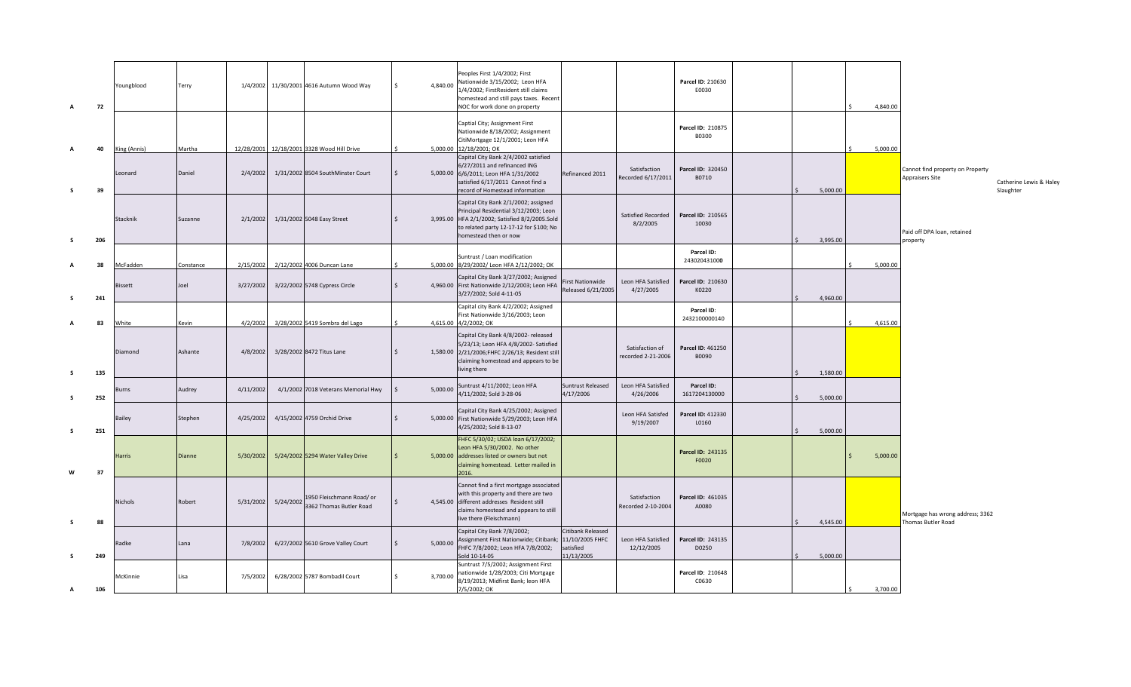| A  | 72  | Youngblood   | Terry     | 1/4/2002   |           | 11/30/2001 4616 Autumn Wood Way                      | 4,840.00 | Peoples First 1/4/2002; First<br>Nationwide 3/15/2002; Leon HFA<br>1/4/2002; FirstResident still claims<br>homestead and still pays taxes. Recent<br>NOC for work done on property                  |                                                                |                                       | Parcel ID: 210630<br>E0030  |  |          | 4,840.00 |                                                        |                                      |
|----|-----|--------------|-----------|------------|-----------|------------------------------------------------------|----------|-----------------------------------------------------------------------------------------------------------------------------------------------------------------------------------------------------|----------------------------------------------------------------|---------------------------------------|-----------------------------|--|----------|----------|--------------------------------------------------------|--------------------------------------|
| A  | 40  | King (Annis) | Martha    | 12/28/2001 |           | 12/18/2001 3328 Wood Hill Drive                      |          | Captial City; Assignment First<br>Nationwide 8/18/2002; Assignment<br>CitiMortgage 12/1/2001; Leon HFA<br>5,000.00 12/18/2001; OK                                                                   |                                                                |                                       | Parcel ID: 210875<br>B0300  |  |          | 5,000.00 |                                                        |                                      |
| s  | 39  | Leonard      | Daniel    | 2/4/2002   |           | 1/31/2002 8504 SouthMinster Court                    |          | Capital City Bank 2/4/2002 satisfied<br>6/27/2011 and refinanced ING<br>5,000.00 6/6/2011; Leon HFA 1/31/2002<br>satisfied 6/17/2011 Cannot find a<br>record of Homestead information               | Refinanced 2011                                                | Satisfaction<br>Recorded 6/17/2011    | Parcel ID: 320450<br>B0710  |  | 5,000.00 |          | Cannot find property on Property<br>Appraisers Site    | Catherine Lewis & Haley<br>Slaughter |
| s. | 206 | Stacknik     | Suzanne   | 2/1/2002   |           | 1/31/2002 5048 Easy Street                           |          | Capital City Bank 2/1/2002; assigned<br>Principal Residential 3/12/2003; Leon<br>3,995.00 HFA 2/1/2002; Satisfied 8/2/2005.Sold<br>to related party 12-17-12 for \$100; No<br>homestead then or now |                                                                | Satisfied Recorded<br>8/2/2005        | Parcel ID: 210565<br>10030  |  | 3,995.00 |          | Paid off DPA loan, retained                            |                                      |
|    |     |              |           |            |           |                                                      |          | Suntrust / Loan modification                                                                                                                                                                        |                                                                |                                       | Parcel ID:                  |  |          |          | property                                               |                                      |
|    | 38  | McFadden     | Constance | 2/15/2002  |           | 2/12/2002 4006 Duncan Lane                           |          | 5,000.00 8/29/2002/ Leon HFA 2/12/2002; OK                                                                                                                                                          |                                                                |                                       | 243020431000                |  |          | 5,000.00 |                                                        |                                      |
|    | 241 | Bissett      | Joel      | 3/27/2002  |           | 3/22/2002 5748 Cypress Circle                        |          | Capital City Bank 3/27/2002; Assigned<br>4,960.00 First Nationwide 2/12/2003; Leon HFA<br>3/27/2002; Sold 4-11-05                                                                                   | irst Nationwide<br>Released 6/21/2005                          | Leon HFA Satisfied<br>4/27/2005       | Parcel ID: 210630<br>K0220  |  | 4,960.00 |          |                                                        |                                      |
|    | 83  | White        | Kevin     | 4/2/2002   |           | 3/28/2002 5419 Sombra del Lago                       |          | Capital city Bank 4/2/2002; Assigned<br>First Nationwide 3/16/2003; Leon<br>4,615.00 4/2/2002; OK                                                                                                   |                                                                |                                       | Parcel ID:<br>2432100000140 |  |          | 4,615.00 |                                                        |                                      |
| s  | 135 | Diamond      | Ashante   | 4/8/2002   |           | 3/28/2002 8472 Titus Lane                            |          | Capital City Bank 4/8/2002- released<br>5/23/13; Leon HFA 4/8/2002- Satisfied<br>1,580.00 2/21/2006;FHFC 2/26/13; Resident still<br>claiming homestead and appears to be<br>living there            |                                                                | Satisfaction of<br>recorded 2-21-2006 | Parcel ID: 461250<br>B0090  |  | 1,580.00 |          |                                                        |                                      |
| s. | 252 | Burns        | Audrey    | 4/11/2002  |           | 4/1/2002 7018 Veterans Memorial Hwy                  | 5,000.00 | Suntrust 4/11/2002; Leon HFA<br>4/11/2002; Sold 3-28-06                                                                                                                                             | Suntrust Released<br>4/17/2006                                 | Leon HFA Satisfied<br>4/26/2006       | Parcel ID:<br>1617204130000 |  | 5,000.00 |          |                                                        |                                      |
| s. | 251 | Bailey       | Stephen   | 4/25/2002  |           | 4/15/2002 4759 Orchid Drive                          |          | Capital City Bank 4/25/2002; Assigned<br>5,000.00 First Nationwide 5/29/2003; Leon HFA<br>4/25/2002; Sold 8-13-07                                                                                   |                                                                | Leon HFA Satisfed<br>9/19/2007        | Parcel ID: 412330<br>L0160  |  | 5,000.00 |          |                                                        |                                      |
| W  | 37  | Harris       | Dianne    | 5/30/2002  |           | 5/24/2002 5294 Water Valley Drive                    |          | FHFC 5/30/02; USDA loan 6/17/2002;<br>Leon HFA 5/30/2002. No other<br>5,000.00 addresses listed or owners but not<br>claiming homestead. Letter mailed in<br>2016.                                  |                                                                |                                       | Parcel ID: 243135<br>F0020  |  |          | 5,000.00 |                                                        |                                      |
| s. | 88  | Nichols      | Robert    | 5/31/2002  | 5/24/2002 | 1950 Fleischmann Road/ or<br>3362 Thomas Butler Road |          | Cannot find a first mortgage associated<br>with this property and there are two<br>4,545.00 different addresses Resident still<br>claims homestead and appears to still<br>live there (Fleischmann) |                                                                | Satisfaction<br>Recorded 2-10-2004    | Parcel ID: 461035<br>A0080  |  | 4,545.00 |          | Mortgage has wrong address; 3362<br>Thomas Butler Road |                                      |
| s. | 249 | Radke        | Lana      | 7/8/2002   |           | 6/27/2002 5610 Grove Valley Court                    | 5,000.00 | Capital City Bank 7/8/2002;<br>Assignment First Nationwide; Citibank;<br>FHFC 7/8/2002; Leon HFA 7/8/2002;<br>Sold 10-14-05                                                                         | Citibank Released<br>11/10/2005 FHFC<br>satisfied<br>1/13/2005 | Leon HFA Satisfied<br>12/12/2005      | Parcel ID: 243135<br>D0250  |  | 5,000.00 |          |                                                        |                                      |
| A  | 106 | McKinnie     | Lisa      | 7/5/2002   |           | 6/28/2002 5787 Bombadil Court                        | 3,700.00 | Suntrust 7/5/2002; Assignment First<br>nationwide 1/28/2003; Citi Mortgage<br>8/19/2013; Midfirst Bank; leon HFA<br>7/5/2002; OK                                                                    |                                                                |                                       | Parcel ID: 210648<br>C0630  |  |          | 3,700.00 |                                                        |                                      |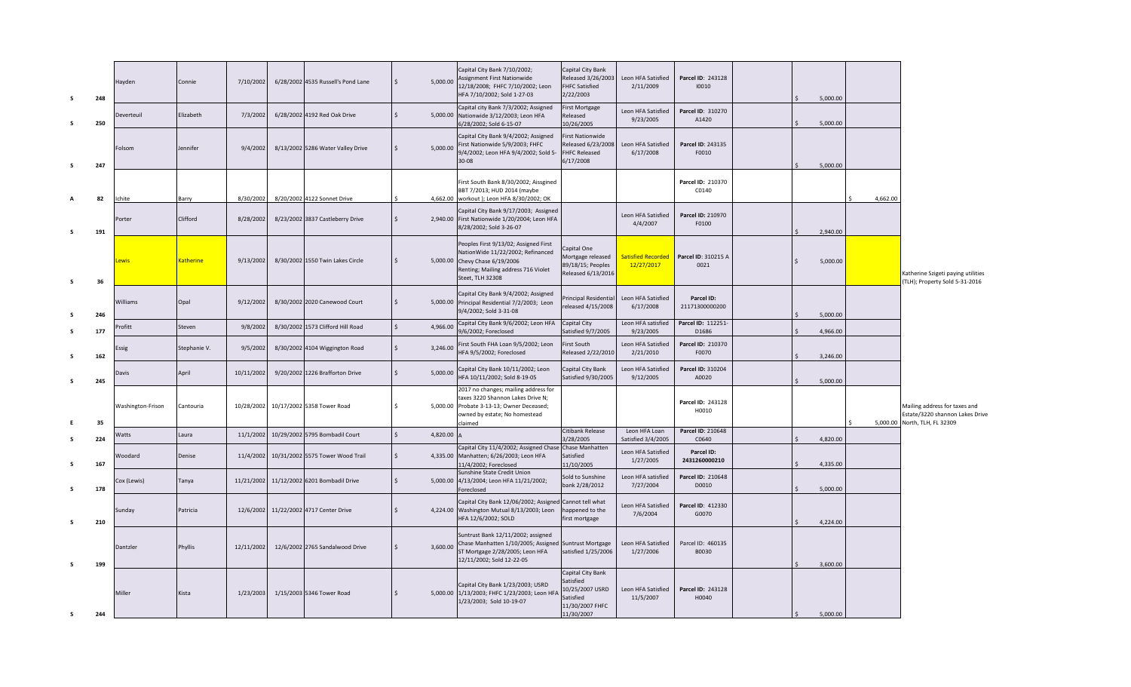| s  | 248 | Hayden            | Connie           | 7/10/2002  | 6/28/2002 4535 Russell's Pond Lane | Ŝ.<br>5,000.00                 | Capital City Bank 7/10/2002;<br>Assignment First Nationwide<br>12/18/2008; FHFC 7/10/2002; Leon<br>HFA 7/10/2002; Sold 1-27-03                                          | Capital City Bank<br>Released 3/26/2003<br><b>FHFC Satisfied</b><br>2/22/2003      | Leon HFA Satisfied<br>2/11/2009         | Parcel ID: 243128<br>10010   | 5,000.00 |          |                                                                                                   |
|----|-----|-------------------|------------------|------------|------------------------------------|--------------------------------|-------------------------------------------------------------------------------------------------------------------------------------------------------------------------|------------------------------------------------------------------------------------|-----------------------------------------|------------------------------|----------|----------|---------------------------------------------------------------------------------------------------|
| s. | 250 | Deverteuil        | Elizabeth        | 7/3/2002   | 6/28/2002 4192 Red Oak Drive       | $\dot{\mathsf{s}}$             | Capital city Bank 7/3/2002; Assigned<br>5,000.00 Nationwide 3/12/2003; Leon HFA<br>5/28/2002; Sold 6-15-07                                                              | <b>First Mortgage</b><br>Released<br>10/26/2005                                    | Leon HFA Satisfied<br>9/23/2005         | Parcel ID: 310270<br>A1420   | 5.000.00 |          |                                                                                                   |
| s  | 247 | Folsom            | Jennifer         | 9/4/2002   | 8/13/2002 5286 Water Valley Drive  | 5,000.00                       | Capital City Bank 9/4/2002; Assigned<br>First Nationwide 5/9/2003; FHFC<br>9/4/2002; Leon HFA 9/4/2002; Sold 5-<br>30-08                                                | <b>First Nationwide</b><br>Released 6/23/2008<br><b>FHFC Released</b><br>6/17/2008 | Leon HFA Satisfied<br>6/17/2008         | Parcel ID: 243135<br>F0010   | 5,000.00 |          |                                                                                                   |
| A  | 82  | Ichite            | Barry            | 8/30/2002  | 8/20/2002 4122 Sonnet Drive        |                                | First South Bank 8/30/2002; Aissgined<br>BBT 7/2013; HUD 2014 (maybe<br>4,662.00 workout ); Leon HFA 8/30/2002; OK                                                      |                                                                                    |                                         | Parcel ID: 210370<br>C0140   |          | 4,662.00 |                                                                                                   |
| s  | 191 | Porter            | Clifford         | 8/28/2002  | 8/23/2002 3837 Castleberry Drive   | $\mathsf{\hat{S}}$             | Capital City Bank 9/17/2003; Assigned<br>2,940.00 First Nationwide 1/20/2004; Leon HFA<br>8/28/2002; Sold 3-26-07                                                       |                                                                                    | Leon HFA Satisfied<br>4/4/2007          | Parcel ID: 210970<br>F0100   | 2,940.00 |          |                                                                                                   |
| s  | 36  | ewis              | <b>Katherine</b> | 9/13/2002  | 8/30/2002 1550 Twin Lakes Circle   | $\mathsf{S}$                   | Peoples First 9/13/02; Assigned First<br>NationWide 11/22/2002; Refinanced<br>5,000.00 Chevy Chase 6/19/2006<br>Renting; Mailing address 716 Violet<br>Steet, TLH 32308 | Capital One<br>Mortgage released<br>89/18/15; Peoples<br>Released 6/13/2016        | <b>Satisfied Recorded</b><br>12/27/2017 | Parcel ID: 310215 A<br>0021  | 5,000.00 |          | Katherine Szigeti paying utilities<br>(TLH); Property Sold 5-31-2016                              |
|    | 246 | Williams          | Opal             | 9/12/2002  | 8/30/2002 2020 Canewood Court      | Ŝ.                             | Capital City Bank 9/4/2002; Assigned<br>5,000.00 Principal Residential 7/2/2003; Leon<br>9/4/2002; Sold 3-31-08                                                         | Principal Residential<br>released 4/15/2008                                        | Leon HFA Satisfied<br>6/17/2008         | Parcel ID:<br>21171300000200 | 5,000.00 |          |                                                                                                   |
|    | 177 | rofitt            | Steven           | 9/8/2002   | 8/30/2002 1573 Clifford Hill Road  | $\dot{\mathsf{s}}$<br>4,966.00 | Capital City Bank 9/6/2002; Leon HFA<br>9/6/2002; Foreclosed                                                                                                            | Capital City<br>Satisfied 9/7/2005                                                 | Leon HFA satisfied<br>9/23/2005         | Parcel ID: 112251-<br>D1686  | 4,966.00 |          |                                                                                                   |
| s  | 162 | Essig             | Stephanie V.     | 9/5/2002   | 8/30/2002 4104 Wiggington Road     | $\dot{\mathbf{S}}$<br>3,246.00 | First South FHA Loan 9/5/2002; Leon<br>HFA 9/5/2002; Foreclosed                                                                                                         | First South<br>Released 2/22/2010                                                  | Leon HFA Satisfied<br>2/21/2010         | Parcel ID: 210370<br>F0070   | 3,246.00 |          |                                                                                                   |
| s  | 245 | Davis             | April            | 10/11/2002 | 9/20/2002 1226 Brafforton Drive    | $\dot{\mathsf{S}}$<br>5,000.00 | Capital City Bank 10/11/2002; Leon<br>HFA 10/11/2002; Sold 8-19-05                                                                                                      | Capital City Bank<br>Satisfied 9/30/2005                                           | Leon HFA Satisfied<br>9/12/2005         | Parcel ID: 310204<br>A0020   | 5,000.00 |          |                                                                                                   |
| F. | 35  | Washington-Frison | Cantouria        | 10/28/2002 | 10/17/2002 5358 Tower Road         | <sup>\$</sup>                  | 2017 no changes; mailing address for<br>taxes 3220 Shannon Lakes Drive N;<br>5,000.00 Probate 3-13-13; Owner Deceased;<br>owned by estate; No homestead<br>claimed      |                                                                                    |                                         | Parcel ID: 243128<br>H0010   |          |          | Mailing address for taxes and<br>Estate/3220 shannon Lakes Drive<br>5,000.00 North, TLH, FL 32309 |
| S. | 224 | Vatts             | Laura            | 11/1/2002  | 10/29/2002 5795 Bombadil Court     | $\dot{\mathsf{s}}$<br>4,820.00 |                                                                                                                                                                         | Citibank Release<br>3/28/2005                                                      | Leon HFA Loan<br>Satisfied 3/4/2005     | Parcel ID: 210648<br>C0640   | 4,820.00 |          |                                                                                                   |
| s  | 167 | Woodard           | Denise           | 11/4/2002  | 10/31/2002 5575 Tower Wood Trail   | $\dot{\mathsf{s}}$             | Capital City 11/4/2002; Assigned Chase Chase Manhatten<br>4,335.00 Manhatten; 6/26/2003; Leon HFA<br>11/4/2002; Foreclosed                                              | Satisfied<br>11/10/2005                                                            | Leon HFA Satisfied<br>1/27/2005         | Parcel ID:<br>2431260000210  | 4,335.00 |          |                                                                                                   |
| s  | 178 | Cox (Lewis)       | Tanya            | 11/21/2002 | 11/12/2002 6201 Bombadil Drive     | $\mathsf{\hat{S}}$             | Sunshine State Credit Union<br>5,000.00 4/13/2004; Leon HFA 11/21/2002;<br>oreclosed                                                                                    | Sold to Sunshine<br>bank 2/28/2012                                                 | Leon HFA satisfied<br>7/27/2004         | Parcel ID: 210648<br>D0010   | 5,000.00 |          |                                                                                                   |
| s  | 210 | Sunday            | Patricia         | 12/6/2002  | 11/22/2002 4717 Center Drive       | $\mathsf{\hat{S}}$             | Capital City Bank 12/06/2002; Assigned<br>4,224.00 Washington Mutual 8/13/2003; Leon<br>HFA 12/6/2002; SOLD                                                             | Cannot tell what<br>happened to the<br>first mortgage                              | Leon HFA Satisfied<br>7/6/2004          | Parcel ID: 412330<br>G0070   | 4,224.00 |          |                                                                                                   |
| s. | 199 | Dantzler          | Phyllis          | 12/11/2002 | 12/6/2002 2765 Sandalwood Drive    | 3,600.00                       | Suntrust Bank 12/11/2002; assigned<br>Chase Manhatten 1/10/2005; Assigned Suntrust Mortgage<br>ST Mortgage 2/28/2005; Leon HFA<br>12/11/2002; Sold 12-22-05             | satisfied 1/25/2006                                                                | Leon HFA Satisfied<br>1/27/2006         | Parcel ID: 460135<br>B0030   | 3.600.00 |          |                                                                                                   |
|    |     | Miller            | Kista            | 1/23/2003  | 1/15/2003 5346 Tower Road          |                                | Capital City Bank 1/23/2003; USRD<br>5,000.00 1/13/2003; FHFC 1/23/2003; Leon HFA<br>1/23/2003; Sold 10-19-07                                                           | Capital City Bank<br>Satisfied<br>10/25/2007 USRD<br>Satisfied<br>11/30/2007 FHFC  | Leon HFA Satisfied<br>11/5/2007         | Parcel ID: 243128<br>H0040   |          |          |                                                                                                   |
| s  | 244 |                   |                  |            |                                    |                                |                                                                                                                                                                         | 11/30/2007                                                                         |                                         |                              | 5,000.00 |          |                                                                                                   |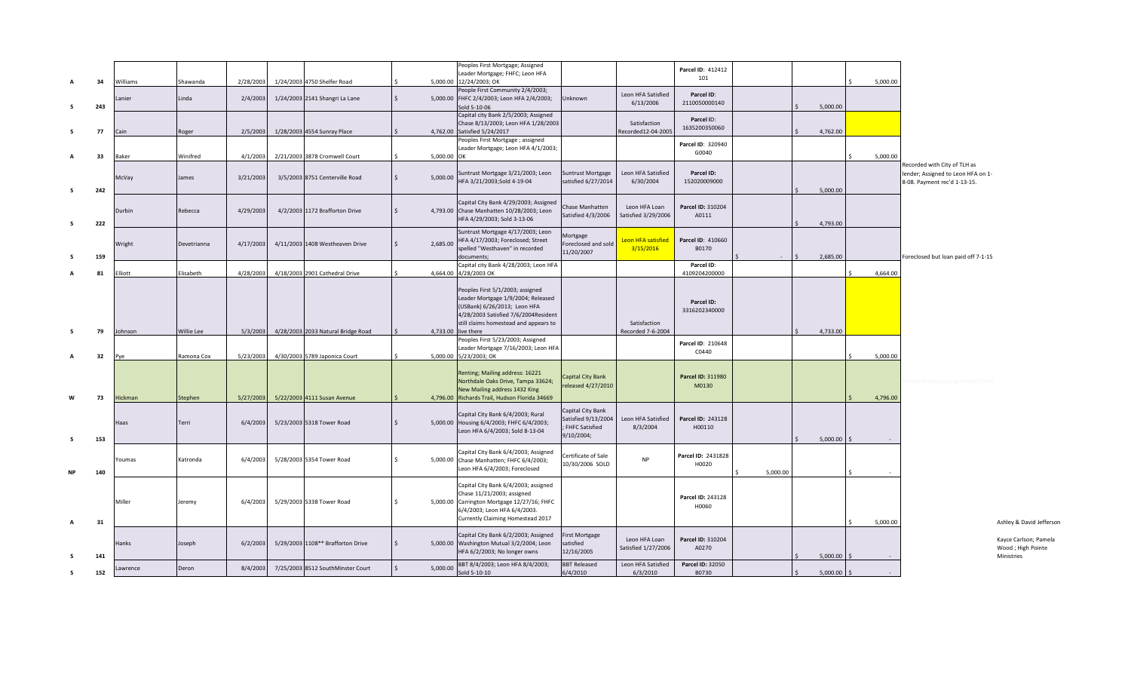| A          | 34  | Williams    | Shawanda          | 2/28/2003 | 1/24/2003 4750 Shelfer Road        |                          | Peoples First Mortgage; Assigned<br>Leader Mortgage; FHFC; Leon HFA<br>5,000.00 12/24/2003; OK                                                                                          |                                                                            |                                      | Parcel ID: 412412<br>101    |          |          | 5,000.00 |                                                                                                    |
|------------|-----|-------------|-------------------|-----------|------------------------------------|--------------------------|-----------------------------------------------------------------------------------------------------------------------------------------------------------------------------------------|----------------------------------------------------------------------------|--------------------------------------|-----------------------------|----------|----------|----------|----------------------------------------------------------------------------------------------------|
| s          | 243 | Lanier      | Linda             | 2/4/2003  | 1/24/2003 2141 Shangri La Lane     | $\mathsf{S}$             | People First Community 2/4/2003;<br>5,000.00 FHFC 2/4/2003; Leon HFA 2/4/2003;<br>old 5-10-06                                                                                           | Unknown                                                                    | Leon HFA Satisfied<br>6/13/2006      | Parcel ID:<br>2110050000140 |          | 5,000.00 |          |                                                                                                    |
| -S         | 77  | Cain        | Roger             | 2/5/2003  | 1/28/2003 4554 Sunray Place        |                          | Capital city Bank 2/5/2003; Assigned<br>Chase 8/13/2003; Leon HFA 1/28/2003<br>4,762.00 Satisfied 5/24/2017                                                                             |                                                                            | Satisfaction<br>Recorded12-04-2005   | Parcel ID:<br>1635200350060 |          | 4,762.00 |          |                                                                                                    |
|            | 33  | Baker       | Winifred          | 4/1/2003  | 2/21/2003 3878 Cromwell Court      |                          | Peoples First Mortgage; assigned<br>Leader Mortgage; Leon HFA 4/1/2003;<br>5,000.00 OK                                                                                                  |                                                                            |                                      | Parcel ID: 320940<br>G0040  |          |          | 5,000.00 |                                                                                                    |
| s          | 242 | McVay       | James             | 3/21/2003 | 3/5/2003 8751 Centerville Road     | $\mathsf{S}$<br>5,000.00 | Suntrust Mortgage 3/21/2003; Leon<br>HFA 3/21/2003;Sold 4-19-04                                                                                                                         | <b>Suntrust Mortgage</b><br>satisfied 6/27/2014                            | Leon HFA Satisfied<br>6/30/2004      | Parcel ID:<br>152020009000  |          | 5,000.00 |          | Recorded with City of TLH as<br>lender; Assigned to Leon HFA on 1-<br>8-08. Payment rec'd 1-13-15. |
| s          | 222 | Durbin      | Rebecca           | 4/29/2003 | 4/2/2003 1172 Brafforton Drive     |                          | Capital City Bank 4/29/2003; Assigned<br>4,793.00 Chase Manhatten 10/28/2003; Leon<br>HFA 4/29/2003; Sold 3-13-06                                                                       | Chase Manhatten<br>Satisfied 4/3/2006                                      | Leon HFA Loan<br>Satisfied 3/29/2006 | Parcel ID: 310204<br>A0111  |          | 4,793.00 |          |                                                                                                    |
| -S         | 159 | Wright      | Devetrianna       | 4/17/2003 | 4/11/2003 1408 Westheaven Drive    | 2,685.00                 | Suntrust Mortgage 4/17/2003; Leon<br>HFA 4/17/2003; Foreclosed; Street<br>spelled "Westhaven" in recorded<br>documents;                                                                 | Mortgage<br>Foreclosed and sold<br>11/20/2007                              | Leon HFA satisfied<br>3/15/2016      | Parcel ID: 410660<br>B0170  |          | 2,685.00 |          | Foreclosed but loan paid off 7-1-15                                                                |
|            | 81  | :lliott     | Elisabeth         | 4/28/2003 | 4/18/2003 2901 Cathedral Drive     |                          | Capital city Bank 4/28/2003; Leon HFA<br>4,664.00 4/28/2003 OK                                                                                                                          |                                                                            |                                      | Parcel ID:<br>4109204200000 |          |          | 4,664.00 |                                                                                                    |
|            |     |             |                   |           |                                    |                          | Peoples First 5/1/2003; assigned<br>Leader Mortgage 1/9/2004; Released<br>(USBank) 6/26/2013; Leon HFA<br>4/28/2003 Satisfied 7/6/2004Resident<br>still claims homestead and appears to |                                                                            | Satisfaction                         | Parcel ID:<br>3316202340000 |          |          |          |                                                                                                    |
| -S         | 79  | Johnson     | <b>Willie Lee</b> | 5/3/2003  | 4/28/2003 2033 Natural Bridge Road |                          | 4,733.00 live there<br>Peoples First 5/23/2003; Assigned                                                                                                                                |                                                                            | Recorded 7-6-2004                    | Parcel ID: 210648           |          | 4,733.00 |          |                                                                                                    |
|            | 32  | Pve         | Ramona Cox        | 5/23/2003 | 4/30/2003 5789 Japonica Court      |                          | Leader Mortgage 7/16/2003; Leon HFA<br>5,000.00 5/23/2003; OK                                                                                                                           |                                                                            |                                      | C0440                       |          |          | 5,000.00 |                                                                                                    |
| W          | 73  | Hickman     | Stephen           | 5/27/2003 | 5/22/2003 4111 Susan Avenue        |                          | Renting; Mailing address: 16221<br>Northdale Oaks Drive, Tampa 33624;<br>New Mailing address 1432 King<br>4,796.00 Richards Trail, Hudson Florida 34669                                 | Capital City Bank<br>released 4/27/2010                                    |                                      | Parcel ID: 311980<br>M0130  |          |          | 4,796.00 |                                                                                                    |
| s.         | 153 | <b>Haas</b> | Terri             | 6/4/2003  | 5/23/2003 5318 Tower Road          | <sup>\$</sup>            | Capital City Bank 6/4/2003; Rural<br>5,000.00 Housing 6/4/2003; FHFC 6/4/2003;<br>Leon HFA 6/4/2003; Sold 8-13-04                                                                       | Capital City Bank<br>Satisfied 9/13/2004<br>; FHFC Satisfied<br>9/10/2004; | Leon HFA Satisfied<br>8/3/2004       | Parcel ID: 243128<br>H00110 |          | 5,000.00 |          |                                                                                                    |
| <b>NP</b>  | 140 | Youmas      | Katronda          | 6/4/2003  | 5/28/2003 5354 Tower Road          | $\mathsf{S}$             | Capital City Bank 6/4/2003; Assigned<br>5,000.00 Chase Manhatten; FHFC 6/4/2003;<br>Leon HFA 6/4/2003; Foreclosed                                                                       | Certificate of Sale<br>10/30/2006 SOLD                                     | <b>NP</b>                            | Parcel ID: 2431828<br>H0020 | 5,000.00 |          |          |                                                                                                    |
| A          | 31  | Miller      | Jeremy            | 6/4/2003  | 5/29/2003 5338 Tower Road          | Ŝ.                       | Capital City Bank 6/4/2003; assigned<br>Chase 11/21/2003; assigned<br>5,000.00 Carrington Mortgage 12/27/16; FHFC<br>6/4/2003; Leon HFA 6/4/2003.<br>Currently Claiming Homestead 2017  |                                                                            |                                      | Parcel ID: 243128<br>H0060  |          |          | 5,000.00 |                                                                                                    |
| -S         | 141 | Hanks       | Joseph            | 6/2/2003  | 5/29/2003 1108** Brafforton Drive  |                          | Capital City Bank 6/2/2003; Assigned<br>5,000.00 Washington Mutual 3/2/2004; Leon<br>HFA 6/2/2003; No longer owns                                                                       | First Mortgage<br>satisfied<br>12/16/2005                                  | Leon HFA Loan<br>Satisfied 1/27/2006 | Parcel ID: 310204<br>A0270  |          | 5,000.00 |          |                                                                                                    |
| $\epsilon$ | 152 | awrence.    | Deron             | 8/4/2003  | 7/25/2003 8512 SouthMinster Court  | 5,000.00                 | BBT 8/4/2003; Leon HFA 8/4/2003;<br>Sold 5-10-10                                                                                                                                        | <b>BBT Released</b><br>6/4/2010                                            | Leon HFA Satisfied<br>6/3/2010       | Parcel ID: 32050<br>B0730   |          | 5,000.00 |          |                                                                                                    |

Ashley & David Jefferson

Kayce Carlson; Pamela Wood ; High Pointe Ministries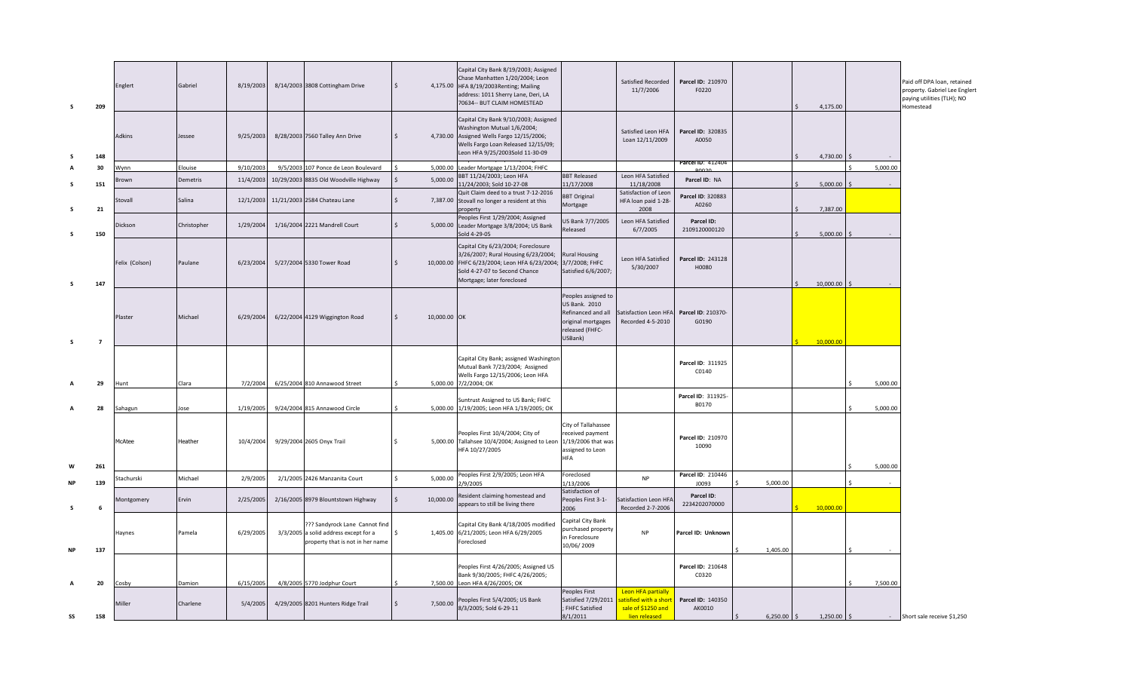| $\varsigma$ | 209            | Englert           | Gabriel     | 8/19/2003 | 8/14/2003 3808 Cottingham Drive                                                                             |                           |              | Capital City Bank 8/19/2003; Assigned<br>Chase Manhatten 1/20/2004; Leon<br>4,175.00 HFA 8/19/2003 Renting; Mailing<br>address: 1011 Sherry Lane, Deri, LA<br>70634 -- BUT CLAIM HOMESTEAD  |                                                                                                                | Satisfied Recorded<br>11/7/2006                                                           | Parcel ID: 210970<br>F0220  |               | 4,175.00      |          | Paid off DPA loan, retained<br>property. Gabriel Lee Englert<br>paying utilities (TLH); NO<br>Homestead |
|-------------|----------------|-------------------|-------------|-----------|-------------------------------------------------------------------------------------------------------------|---------------------------|--------------|---------------------------------------------------------------------------------------------------------------------------------------------------------------------------------------------|----------------------------------------------------------------------------------------------------------------|-------------------------------------------------------------------------------------------|-----------------------------|---------------|---------------|----------|---------------------------------------------------------------------------------------------------------|
|             | 148            | Adkins            | Jessee      | 9/25/2003 | 8/28/2003 7560 Talley Ann Drive                                                                             |                           |              | Capital City Bank 9/10/2003; Assigned<br>Washington Mutual 1/6/2004;<br>4,730.00 Assigned Wells Fargo 12/15/2006;<br>Wells Fargo Loan Released 12/15/09;<br>Leon HFA 9/25/2003Sold 11-30-09 |                                                                                                                | Satisfied Leon HFA<br>Loan 12/11/2009                                                     | Parcel ID: 320835<br>A0050  |               | 4,730.00      |          |                                                                                                         |
|             | 30             | Wynn              | Elouise     | 9/10/2003 | 9/5/2003 107 Ponce de Leon Boulevard                                                                        | 5,000.00                  |              | eader Mortgage 1/13/2004; FHFC                                                                                                                                                              |                                                                                                                |                                                                                           | Parcel ID: 412404           |               |               | 5,000.00 |                                                                                                         |
|             | 151            | 3rown             | Demetris    | 11/4/2003 | 10/29/2003 8835 Old Woodville Highway                                                                       | 5,000.00                  |              | BBT 11/24/2003; Leon HFA<br>11/24/2003; Sold 10-27-08                                                                                                                                       | <b>BBT Released</b><br>11/17/2008                                                                              | Leon HFA Satisfied<br>11/18/2008                                                          | Parcel ID: NA               |               | 5,000.00      |          |                                                                                                         |
|             | 21             | Stovall           | Salina      | 12/1/2003 | 11/21/2003 2584 Chateau Lane                                                                                |                           |              | Quit Claim deed to a trust 7-12-2016<br>7,387.00 Stovall no longer a resident at this<br><i>roperty</i>                                                                                     | <b>BBT Original</b><br>Mortgage                                                                                | Satisfaction of Leon<br>HFA loan paid 1-28-<br>2008                                       | Parcel ID: 320883<br>A0260  |               | 7,387.00      |          |                                                                                                         |
| $\varsigma$ | 150            | Dickson           | Christopher | 1/29/2004 | 1/16/2004 2221 Mandrell Court                                                                               | Ŝ.<br>5,000.00            |              | Peoples First 1/29/2004; Assigned<br>Leader Mortgage 3/8/2004; US Bank<br>Sold 4-29-05                                                                                                      | US Bank 7/7/2005<br>Released                                                                                   | Leon HFA Satisfied<br>6/7/2005                                                            | Parcel ID:<br>2109120000120 |               | 5,000.00      |          |                                                                                                         |
| s           | 147            | Felix (Colson)    | Paulane     | 6/23/2004 | 5/27/2004 5330 Tower Road                                                                                   |                           |              | Capital City 6/23/2004; Foreclosure<br>3/26/2007; Rural Housing 6/23/2004;<br>10,000.00 FHFC 6/23/2004; Leon HFA 6/23/2004;<br>Sold 4-27-07 to Second Chance<br>Mortgage; later foreclosed  | <b>Rural Housing</b><br>3/7/2008; FHFC<br>Satisfied 6/6/2007;                                                  | Leon HFA Satisfied<br>5/30/2007                                                           | Parcel ID: 243128<br>H0080  |               | 10,000.00     |          |                                                                                                         |
| s           | $\overline{7}$ | Plaster           | Michael     | 6/29/2004 | 6/22/2004 4129 Wiggington Road                                                                              |                           | 10,000.00 OK |                                                                                                                                                                                             | Peoples assigned to<br>US Bank. 2010<br>Refinanced and all<br>original mortgages<br>released (FHFC-<br>USBank) | Satisfaction Leon HFA<br>Recorded 4-5-2010                                                | Parcel ID: 210370-<br>G0190 |               | 10,000.00     |          |                                                                                                         |
|             | 29             | Hunt              | Clara       | 7/2/2004  | 6/25/2004 810 Annawood Street                                                                               |                           |              | Capital City Bank; assigned Washingtor<br>Mutual Bank 7/23/2004; Assigned<br>Wells Fargo 12/15/2006; Leon HFA<br>5,000.00 7/2/2004; OK                                                      |                                                                                                                |                                                                                           | Parcel ID: 311925<br>C0140  |               |               | 5.000.00 |                                                                                                         |
|             | 28             | ahagun            | ose         | 1/19/2005 | 9/24/2004 815 Annawood Circle                                                                               |                           |              | Suntrust Assigned to US Bank; FHFC<br>5,000.00 1/19/2005; Leon HFA 1/19/2005; OK                                                                                                            |                                                                                                                |                                                                                           | Parcel ID: 311925-<br>B0170 |               |               | 5,000.00 |                                                                                                         |
|             |                | McAtee            | Heather     | 10/4/2004 | 9/29/2004 2605 Onyx Trail                                                                                   | Ŝ.                        |              | Peoples First 10/4/2004; City of<br>5,000.00 Tallahsee 10/4/2004; Assigned to Leon<br>HFA 10/27/2005                                                                                        | City of Tallahassee<br>received payment<br>1/19/2006 that was<br>assigned to Leon<br><b>HFA</b>                |                                                                                           | Parcel ID: 210970<br>10090  |               |               |          |                                                                                                         |
|             | 261            |                   |             |           |                                                                                                             | $\mathsf{S}$              |              | Peoples First 2/9/2005; Leon HFA                                                                                                                                                            | Foreclosed                                                                                                     |                                                                                           | Parcel ID: 210446           |               |               | 5,000.00 |                                                                                                         |
|             | 139            | tachurski         | Michael     | 2/9/2005  | 2/1/2005 2426 Manzanita Court                                                                               | 5,000.00                  |              | !/9/2005                                                                                                                                                                                    | 1/13/2006                                                                                                      | <b>NP</b>                                                                                 | J0093                       | 5,000.00      |               |          |                                                                                                         |
| s           | 6              | <b>Montgomery</b> | Ervin       | 2/25/2005 | 2/16/2005 8979 Blountstown Highway                                                                          | $\mathsf{S}$<br>10,000.00 |              | Resident claiming homestead and<br>appears to still be living there                                                                                                                         | Satisfaction of<br>Peoples First 3-1-<br>2006                                                                  | Satisfaction Leon HFA<br>Recorded 2-7-2006                                                | Parcel ID:<br>2234202070000 |               | 10,000.00     |          |                                                                                                         |
| <b>NP</b>   | 137            | Haynes            | Pamela      | 6/29/2005 | ??? Sandyrock Lane Cannot find<br>3/3/2005 a solid address except for a<br>property that is not in her name | Ŝ.                        |              | Capital City Bank 4/18/2005 modified<br>1,405.00 6/21/2005; Leon HFA 6/29/2005<br>Foreclosed                                                                                                | Capital City Bank<br>ourchased property<br>in Foreclosure<br>10/06/2009                                        | <b>NP</b>                                                                                 | Parcel ID: Unknown          | 1,405.00      |               |          |                                                                                                         |
|             | 20             | Cosby             | Damion      | 6/15/2005 | 4/8/2005 5770 Jodphur Court                                                                                 |                           |              | Peoples First 4/26/2005; Assigned US<br>Bank 9/30/2005; FHFC 4/26/2005;<br>7,500.00 Leon HFA 4/26/2005; OK                                                                                  |                                                                                                                |                                                                                           | Parcel ID: 210648<br>C0320  |               |               | 7,500.00 |                                                                                                         |
| SS          | 158            | Miller            | Charlene    | 5/4/2005  | 4/29/2005 8201 Hunters Ridge Trail                                                                          | 7,500.00                  |              | Peoples First 5/4/2005; US Bank<br>8/3/2005; Sold 6-29-11                                                                                                                                   | Peoples First<br>Satisfied 7/29/2011<br>FHFC Satisfied<br>8/1/2011                                             | <b>Leon HFA partially</b><br>atisfied with a short<br>sale of \$1250 and<br>lien released | Parcel ID: 140350<br>AK0010 | $6,250.00$ \$ | $1,250.00$ \$ |          | - Short sale receive \$1,250                                                                            |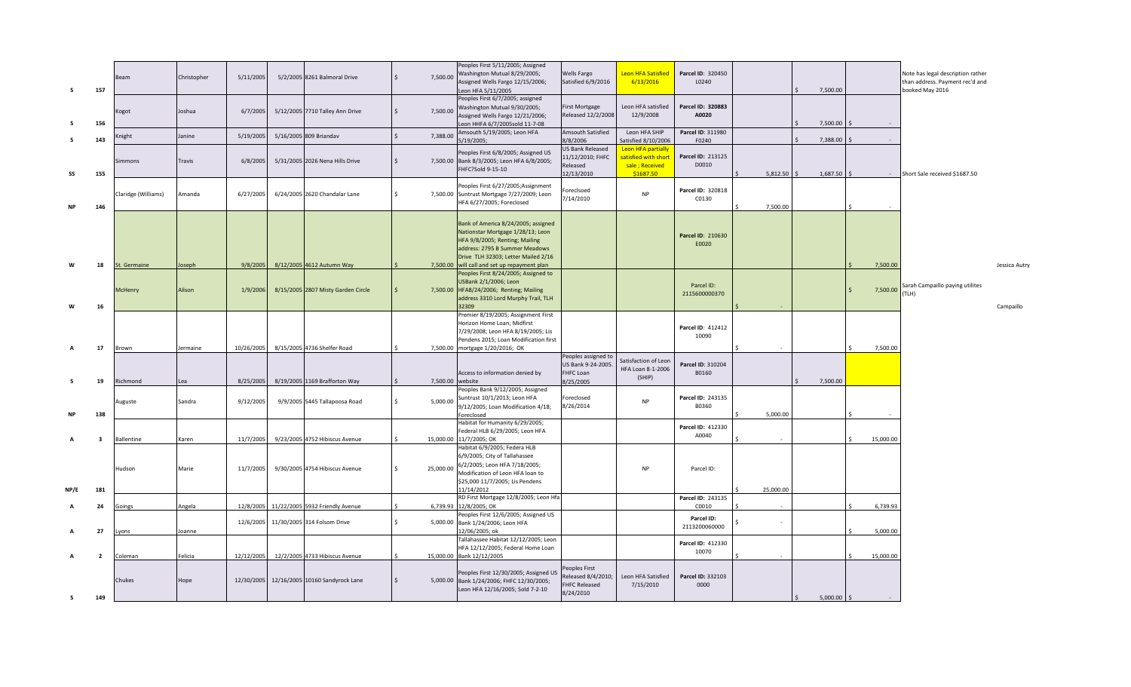| s         | 157                     | Beam                | Christopher | 5/11/2005  | 5/2/2005 8261 Balmoral Drive       | 7,500.00         | Peoples First 5/11/2005; Assigned<br>Washington Mutual 8/29/2005;<br>Assigned Wells Fargo 12/15/2006;<br>eon HFA 5/11/2005                                                                                                          | <b>Wells Fargo</b><br>Satisfied 6/9/2016                                | Leon HFA Satisfied<br>6/13/2016                                           | Parcel ID: 320450<br>L0240  |                          | 7,500.00                |           | Note has legal description rather<br>than address. Payment rec'd and<br>booked May 2016 |               |
|-----------|-------------------------|---------------------|-------------|------------|------------------------------------|------------------|-------------------------------------------------------------------------------------------------------------------------------------------------------------------------------------------------------------------------------------|-------------------------------------------------------------------------|---------------------------------------------------------------------------|-----------------------------|--------------------------|-------------------------|-----------|-----------------------------------------------------------------------------------------|---------------|
| s         | 156                     | Kogot               | Joshua      | 6/7/2005   | 5/12/2005 7710 Talley Ann Drive    | $\mathsf{S}$     | Peoples First 6/7/2005; assigned<br>7,500.00 Washington Mutual 9/30/2005;<br>Assigned Wells Fargo 12/21/2006;<br>eon HHFA 6/7/2005sold 11-7-08                                                                                      | First Mortgage<br>Released 12/2/2008                                    | Leon HFA satisfied<br>12/9/2008                                           | Parcel ID: 320883<br>A0020  |                          | 7,500.00                |           |                                                                                         |               |
| -S        | 143                     | <b>Cnight</b>       | Janine      | 5/19/2005  | 5/16/2005 809 Briandav             | 7,388.00         | Amsouth 5/19/2005; Leon HFA<br>5/19/2005;                                                                                                                                                                                           | Amsouth Satisfied<br>3/8/2006                                           | Leon HFA SHIP<br>Satisfied 8/10/2006                                      | Parcel ID: 311980<br>F0240  |                          | 7,388.00                |           |                                                                                         |               |
| SS        | 155                     | <b>Simmons</b>      | Travis      | 6/8/2005   | 5/31/2005 2026 Nena Hills Drive    |                  | Peoples First 6/8/2005; Assigned US<br>7,500.00 Bank 8/3/2005; Leon HFA 6/8/2005;<br>FHFC?Sold 9-15-10                                                                                                                              | US Bank Released<br>11/12/2010; FHFC<br>Released<br>12/13/2010          | Leon HFA partially<br>satisfied with short<br>sale; Received<br>\$1687.50 | Parcel ID: 213125<br>D0010  | $5,812.50$ \$            | $1,687.50$ \$           | $\sim$    | Short Sale received \$1687.50                                                           |               |
| ΝP        | 146                     | Claridge (Williams) | Amanda      | 6/27/2005  | 6/24/2005 2620 Chandalar Lane      |                  | Peoples First 6/27/2005;Assignment<br>7,500.00 Suntrust Mortgage 7/27/2009; Leon<br>HFA 6/27/2005; Foreclosed                                                                                                                       | oreclsoed<br>7/14/2010                                                  | <b>NP</b>                                                                 | Parcel ID: 320818<br>C0130  | 7,500.00                 |                         |           |                                                                                         |               |
| W         | 18                      | St. Germaine        | Joseph      | 9/8/2005   | 8/12/2005 4612 Autumn Way          |                  | Bank of America 8/24/2005; assigned<br>Nationstar Mortgage 1/28/13; Leon<br>HFA 9/8/2005; Renting; Mailing<br>address: 2795 B Summer Meadows<br>Drive TLH 32303; Letter Mailed 2/16<br>7,500.00 will call and set up repayment plan |                                                                         |                                                                           | Parcel ID: 210630<br>E0020  |                          |                         | 7,500.00  |                                                                                         | Jessica Autry |
| W         | 16                      | McHenry             | Alison      | 1/9/2006   | 8/15/2005 2807 Misty Garden Circle |                  | Peoples First 8/24/2005; Assigned to<br>USBank 2/1/2006; Leon<br>7,500.00 HFA8/24/2006; Renting; Mailing<br>address 3310 Lord Murphy Trail, TLH<br>32309                                                                            |                                                                         |                                                                           | Parcel ID:<br>2115600000370 |                          |                         | 7,500.00  | Sarah Campaillo paying utilites<br>(TLH)                                                | Campaillo     |
| A         | 17                      | Brown               | Jermaine    | 10/26/2005 | 8/15/2005 4736 Shelfer Road        |                  | Premier 8/19/2005; Assignment First<br>Horizon Home Loan; Midfirst<br>7/29/2008; Leon HFA 8/19/2005; Lis<br>Pendens 2015; Loan Modification first<br>7,500.00 mortgage 1/20/2016; OK                                                |                                                                         |                                                                           | Parcel ID: 412412<br>10090  |                          |                         | 7,500.00  |                                                                                         |               |
|           |                         |                     |             |            |                                    |                  | Access to information denied by                                                                                                                                                                                                     | Peoples assigned to<br>US Bank 9-24-2005<br>FHFC Loan                   | Satisfaction of Leon<br>HFA Loan 8-1-2006                                 | Parcel ID: 310204<br>B0160  |                          |                         |           |                                                                                         |               |
| -S        | 19                      | Richmond            | lea         | 8/25/2005  | 8/19/2005 1169 Brafforton Way      | 7,500.00 website |                                                                                                                                                                                                                                     | 8/25/2005                                                               | (SHIP)                                                                    |                             |                          | 7,500.00                |           |                                                                                         |               |
| <b>NP</b> | 138                     | Auguste             | Sandra      | 9/12/2005  | 9/9/2005 5445 Tallapoosa Road      | 5,000.00         | Peoples Bank 9/12/2005; Assigned<br>Suntrust 10/1/2013; Leon HFA<br>9/12/2005; Loan Modification 4/18;<br>Foreclosed                                                                                                                | Foreclosed<br>8/26/2014                                                 | <b>NP</b>                                                                 | Parcel ID: 243135<br>B0360  | 5,000.00                 |                         |           |                                                                                         |               |
|           |                         |                     |             |            |                                    |                  | Habitat for Humanity 6/29/2005;<br>Federal HLB 6/29/2005; Leon HFA                                                                                                                                                                  |                                                                         |                                                                           | Parcel ID: 412330           |                          |                         |           |                                                                                         |               |
| A         | - 3                     | <b>Ballentine</b>   | Karen       | 11/7/2005  | 9/23/2005 4752 Hibiscus Avenue     |                  | 15,000.00 11/7/2005; OK                                                                                                                                                                                                             |                                                                         |                                                                           | A0040                       |                          |                         | 15,000.00 |                                                                                         |               |
|           |                         | Hudson              | Marie       | 11/7/2005  | 9/30/2005 4754 Hibiscus Avenue     | 25,000.00        | Habitat 6/9/2005; Federa HLB<br>6/9/2005; City of Tallahassee<br>6/2/2005; Leon HFA 7/18/2005;<br>Modification of Leon HFA loan to<br>\$25,000 11/7/2005; Lis Pendens                                                               |                                                                         | <b>NP</b>                                                                 | Parcel ID:                  |                          |                         |           |                                                                                         |               |
| NP/E      | 181                     |                     |             |            |                                    |                  | 11/14/2012<br>RD First Mortgage 12/8/2005; Leon Hfa                                                                                                                                                                                 |                                                                         |                                                                           | Parcel ID: 243135           | 25,000.00                |                         |           |                                                                                         |               |
|           | 24                      | Goings              | Angela      | 12/8/2005  | 11/22/2005 5932 Friendly Avenue    |                  | 6,739.93 12/8/2005; OK<br>Peoples First 12/6/2005; Assigned US                                                                                                                                                                      |                                                                         |                                                                           | C0010                       |                          |                         | 6,739.93  |                                                                                         |               |
|           | 27                      | Lyons               | Joanne      | 12/6/2005  | 11/30/2005 314 Folsom Drive        |                  | 5,000.00 Bank 1/24/2006; Leon HFA<br>12/06/2005; ok<br>Tallahassee Habitat 12/12/2005; Leon                                                                                                                                         |                                                                         |                                                                           | Parcel ID:<br>2113200060000 | $\overline{\phantom{a}}$ |                         | 5,000.00  |                                                                                         |               |
| А         | $\overline{\mathbf{2}}$ | Coleman             | Felicia     | 12/12/2005 | 12/2/2005 4733 Hibiscus Avenue     |                  | HFA 12/12/2005; Federal Home Loan<br>15,000.00 Bank 12/12/2005                                                                                                                                                                      |                                                                         |                                                                           | Parcel ID: 412330<br>10070  |                          |                         | 15,000.00 |                                                                                         |               |
| s.        | 149                     | Chukes              | Hope        | 12/30/2005 | 12/16/2005 10160 Sandyrock Lane    |                  | Peoples First 12/30/2005; Assigned US<br>5,000.00 Bank 1/24/2006; FHFC 12/30/2005;<br>Leon HFA 12/16/2005; Sold 7-2-10                                                                                                              | eoples First<br>Released 8/4/2010;<br><b>FHFC Released</b><br>8/24/2010 | Leon HFA Satisfied<br>7/15/2010                                           | Parcel ID: 332103<br>0000   |                          | $5,000.00$ \$<br>$\leq$ | $\sim$    |                                                                                         |               |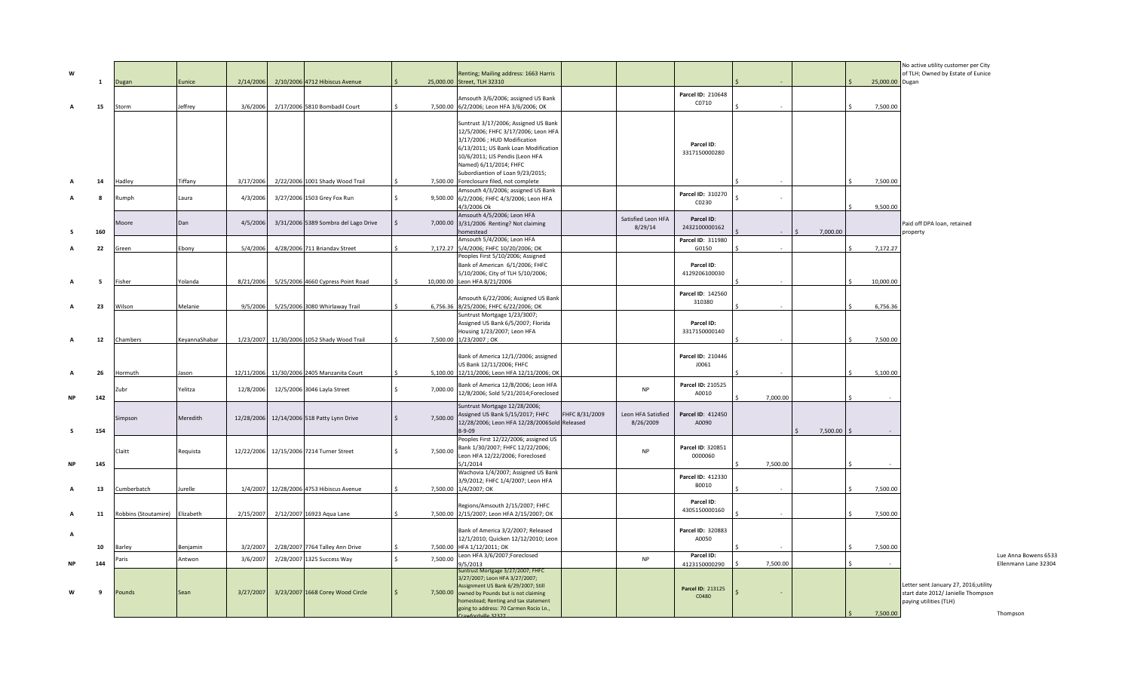| W              |     |                                |               |           |                                            |              |                              | Renting; Mailing address: 1663 Harris                                               |                |                    |                              |              |          |                 | No active utility customer per City<br>of TLH; Owned by Estate of Eunice   |                      |
|----------------|-----|--------------------------------|---------------|-----------|--------------------------------------------|--------------|------------------------------|-------------------------------------------------------------------------------------|----------------|--------------------|------------------------------|--------------|----------|-----------------|----------------------------------------------------------------------------|----------------------|
|                | 1   | Dugan                          | Eunice        |           | 2/14/2006 2/10/2006 4712 Hibiscus Avenue   |              | 25,000.00 Street, TLH 32310  |                                                                                     |                |                    |                              |              |          | 25,000.00 Dugan |                                                                            |                      |
|                |     |                                |               |           |                                            |              |                              | Amsouth 3/6/2006; assigned US Bank                                                  |                |                    | Parcel ID: 210648<br>C0710   |              |          |                 |                                                                            |                      |
| $\overline{A}$ | 15  | Storm                          | Jeffrey       | 3/6/2006  | 2/17/2006 5810 Bombadil Court              |              |                              | 7,500.00 6/2/2006; Leon HFA 3/6/2006; OK                                            |                |                    |                              |              |          | 7,500.00        |                                                                            |                      |
|                |     |                                |               |           |                                            |              |                              | Suntrust 3/17/2006; Assigned US Bank                                                |                |                    |                              |              |          |                 |                                                                            |                      |
|                |     |                                |               |           |                                            |              |                              | 12/5/2006; FHFC 3/17/2006; Leon HFA<br>3/17/2006 ; HUD Modification                 |                |                    |                              |              |          |                 |                                                                            |                      |
|                |     |                                |               |           |                                            |              |                              | 6/13/2011; US Bank Loan Modification                                                |                |                    | Parcel ID:<br>3317150000280  |              |          |                 |                                                                            |                      |
|                |     |                                |               |           |                                            |              |                              | 10/6/2011; LIS Pendis (Leon HFA<br>Named) 6/11/2014; FHFC                           |                |                    |                              |              |          |                 |                                                                            |                      |
|                |     |                                |               |           |                                            |              |                              | Subordiantion of Loan 9/23/2015;                                                    |                |                    |                              |              |          |                 |                                                                            |                      |
|                | 14  | Hadley                         | Tiffany       | 3/17/2006 | 2/22/2006 1001 Shady Wood Trail            |              |                              | 7,500.00 Foreclosure filed, not complete                                            |                |                    |                              |              |          | 7,500.00        |                                                                            |                      |
|                | -8  | Rumph                          | Laura         | 4/3/2006  | 3/27/2006 1503 Grey Fox Run                | $\mathsf{S}$ |                              | Amsouth 4/3/2006; assigned US Bank<br>9,500.00 6/2/2006; FHFC 4/3/2006; Leon HFA    |                |                    | Parcel ID: 310270            |              |          |                 |                                                                            |                      |
|                |     |                                |               |           |                                            |              | 4/3/2006 Ok                  |                                                                                     |                |                    | C0230                        |              |          | 9,500.00        |                                                                            |                      |
|                |     | Moore                          | Dan           | 4/5/2006  | 3/31/2006 5389 Sombra del Lago Drive       | \$           |                              | Amsouth 4/5/2006; Leon HFA<br>7,000.00 3/31/2006 Renting? Not claiming              |                | Satisfied Leon HFA | Parcel ID:                   |              |          |                 | Paid off DPA loan, retained                                                |                      |
| - S            | 160 |                                |               |           |                                            |              | homestead                    |                                                                                     |                | 8/29/14            | 2432100000162                |              | 7.000.00 |                 | property                                                                   |                      |
|                |     |                                |               |           |                                            |              |                              | Amsouth 5/4/2006; Leon HFA                                                          |                |                    | Parcel ID: 311980            |              |          |                 |                                                                            |                      |
|                | 22  | ireen                          | Ebony         | 5/4/2006  | 4/28/2006 711 Briandav Street              |              |                              | 7,172.27 5/4/2006; FHFC 10/20/2006; OK<br>Peoples First 5/10/2006; Assigned         |                |                    | G0150                        |              |          | 7,172.27        |                                                                            |                      |
|                |     |                                |               |           |                                            |              |                              | Bank of American 6/1/2006; FHFC                                                     |                |                    | Parcel ID:                   |              |          |                 |                                                                            |                      |
|                | - 5 | Fisher                         | Yolanda       | 8/21/2006 | 5/25/2006 4660 Cypress Point Road          |              | 10,000.00 Leon HFA 8/21/2006 | 5/10/2006; City of TLH 5/10/2006;                                                   |                |                    | 4129206100030                |              |          | 10,000.00       |                                                                            |                      |
|                |     |                                |               |           |                                            |              |                              |                                                                                     |                |                    |                              |              |          |                 |                                                                            |                      |
|                |     |                                |               |           |                                            |              |                              | Amsouth 6/22/2006; Assigned US Bank                                                 |                |                    | Parcel ID: 142560<br>310380  |              |          |                 |                                                                            |                      |
|                | 23  | Wilson                         | Melanie       |           | 9/5/2006 5/25/2006 3080 Whirlaway Trail    |              |                              | 6,756.36 8/25/2006; FHFC 6/22/2006; OK<br>Suntrust Mortgage 1/23/3007;              |                |                    |                              |              |          | 6,756.36        |                                                                            |                      |
|                |     |                                |               |           |                                            |              |                              | Assigned US Bank 6/5/2007; Florida                                                  |                |                    | Parcel ID:                   |              |          |                 |                                                                            |                      |
|                | 12  | Chambers                       | KeyannaShabar |           | 1/23/2007 11/30/2006 1052 Shady Wood Trail |              | 7,500.00 1/23/2007; OK       | Housing 1/23/2007; Leon HFA                                                         |                |                    | 3317150000140                |              |          | 7,500.00        |                                                                            |                      |
|                |     |                                |               |           |                                            |              |                              |                                                                                     |                |                    |                              |              |          |                 |                                                                            |                      |
|                |     |                                |               |           |                                            |              |                              | Bank of America 12/1//2006; assigned                                                |                |                    | Parcel ID: 210446            |              |          |                 |                                                                            |                      |
|                | 26  | Hormuth                        | Jason         |           | 12/11/2006 11/30/2006 2405 Manzanita Court |              |                              | US Bank 12/11/2006; FHFC<br>5,100.00 12/11/2006; Leon HFA 12/11/2006; OK            |                |                    | J0061                        |              |          | 5,100.00        |                                                                            |                      |
|                |     |                                |               |           |                                            |              |                              | Bank of America 12/8/2006; Leon HFA                                                 |                |                    | Parcel ID: 210525            |              |          |                 |                                                                            |                      |
|                |     | Zubr                           | Yelitza       | 12/8/2006 | 12/5/2006 3046 Layla Street                | Ś.           | 7,000.00                     | 12/8/2006; Sold 5/21/2014;Foreclosed                                                |                | <b>NP</b>          | A0010                        |              |          |                 |                                                                            |                      |
| <b>NP</b>      | 142 |                                |               |           |                                            |              |                              | Suntrust Mortgage 12/28/2006;                                                       |                |                    |                              | 7,000.00     |          |                 |                                                                            |                      |
|                |     | Simpson                        | Meredith      |           | 12/28/2006 12/14/2006 518 Patty Lynn Drive | Ś.           | 7,500.00                     | Assigned US Bank 5/15/2017; FHFC                                                    | FHFC 8/31/2009 | Leon HFA Satisfied | Parcel ID: 412450            |              |          |                 |                                                                            |                      |
|                | 154 |                                |               |           |                                            |              | $8 - 9 - 09$                 | 12/28/2006; Leon HFA 12/28/2006Sold Released                                        |                | 8/26/2009          | A0090                        |              | 7,500.00 |                 |                                                                            |                      |
|                |     |                                |               |           |                                            |              |                              | Peoples First 12/22/2006; assigned US                                               |                |                    |                              |              |          |                 |                                                                            |                      |
|                |     | Claitt                         | Requista      |           | 12/22/2006 12/15/2006 7214 Turner Street   | Ś.           | 7,500.00                     | Bank 1/30/2007; FHFC 12/22/2006;                                                    |                | <b>NP</b>          | Parcel ID: 320851<br>0000060 |              |          |                 |                                                                            |                      |
| <b>NP</b>      | 145 |                                |               |           |                                            |              | 5/1/2014                     | Leon HFA 12/22/2006; Foreclosed                                                     |                |                    |                              | 7,500.00     |          |                 |                                                                            |                      |
|                |     |                                |               |           |                                            |              |                              | Wachovia 1/4/2007; Assigned US Bank                                                 |                |                    | Parcel ID: 412330            |              |          |                 |                                                                            |                      |
|                | 13  | umberbatch                     | urelle        |           | 1/4/2007 12/28/2006 4753 Hibiscus Avenue   |              | 7,500.00 1/4/2007; OK        | 3/9/2012; FHFC 1/4/2007; Leon HFA                                                   |                |                    | B0010                        |              |          | 7,500.00        |                                                                            |                      |
|                |     |                                |               |           |                                            |              |                              |                                                                                     |                |                    | Parcel ID:                   |              |          |                 |                                                                            |                      |
|                |     |                                |               |           |                                            |              |                              | Regions/Amsouth 2/15/2007; FHFC                                                     |                |                    | 4305150000160                |              |          |                 |                                                                            |                      |
| $\overline{A}$ | 11  | Robbins (Stoutamire) Elizabeth |               | 2/15/2007 | 2/12/2007 16923 Aqua Lane                  |              |                              | 7,500.00 2/15/2007; Leon HFA 2/15/2007; OK                                          |                |                    |                              |              |          | 7,500.00        |                                                                            |                      |
| A              |     |                                |               |           |                                            |              |                              | Bank of America 3/2/2007; Released                                                  |                |                    | Parcel ID: 320883            |              |          |                 |                                                                            |                      |
|                | 10  | Barley                         | Benjamin      | 3/2/2007  | 2/28/2007 7764 Talley Ann Drive            |              | 7,500.00 HFA 1/12/2011; OK   | 12/1/2010; Quicken 12/12/2010; Leon                                                 |                |                    | A0050                        |              |          | 7,500.00        |                                                                            |                      |
|                |     | Paris                          | Antwon        | 3/6/2007  | 2/28/2007 1325 Success Way                 | Ś.           | 7,500.00                     | Leon HFA 3/6/2007;Foreclosed                                                        |                | <b>NP</b>          | Parcel ID:                   |              |          |                 |                                                                            | Lue Anna Bowens 6533 |
| <b>NF</b>      | 144 |                                |               |           |                                            |              | 9/5/2013                     | Suntrust Mortgage 3/27/2007; FHFC                                                   |                |                    | 4123150000290                | 7,500.00     |          |                 |                                                                            | Ellenmann Lane 32304 |
|                |     |                                |               |           |                                            |              |                              | 3/27/2007; Leon HFA 3/27/2007;                                                      |                |                    |                              |              |          |                 |                                                                            |                      |
| ้พ             | 9   | Pounds                         | Sean          | 3/27/2007 | 3/23/2007 1668 Corey Wood Circle           | Ś.           |                              | Assignment US Bank 6/29/2007; Still<br>7,500.00 owned by Pounds but is not claiming |                |                    | Parcel ID: 213125            | $\mathsf{S}$ |          |                 | Letter sent January 27, 2016;utility<br>start date 2012/ Janielle Thompson |                      |
|                |     |                                |               |           |                                            |              |                              | homestead; Renting and tax statement                                                |                |                    | C0480                        |              |          |                 | paying utilities (TLH)                                                     |                      |
|                |     |                                |               |           |                                            |              |                              | going to address: 70 Carmen Rocio Ln.,<br>wfordville 32327                          |                |                    |                              |              |          | 7,500.00        |                                                                            | Thompson             |